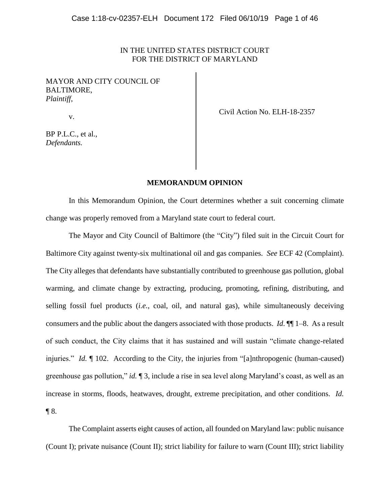# IN THE UNITED STATES DISTRICT COURT FOR THE DISTRICT OF MARYLAND

MAYOR AND CITY COUNCIL OF BALTIMORE, *Plaintiff*,

v.

Civil Action No. ELH-18-2357

BP P.L.C., et al., *Defendants.*

# **MEMORANDUM OPINION**

In this Memorandum Opinion, the Court determines whether a suit concerning climate change was properly removed from a Maryland state court to federal court.

The Mayor and City Council of Baltimore (the "City") filed suit in the Circuit Court for Baltimore City against twenty-six multinational oil and gas companies. *See* ECF 42 (Complaint). The City alleges that defendants have substantially contributed to greenhouse gas pollution, global warming, and climate change by extracting, producing, promoting, refining, distributing, and selling fossil fuel products (*i.e.*, coal, oil, and natural gas), while simultaneously deceiving consumers and the public about the dangers associated with those products. *Id*. ¶¶ 1–8. As a result of such conduct, the City claims that it has sustained and will sustain "climate change-related injuries." *Id.* ¶ 102. According to the City, the injuries from "[a]nthropogenic (human-caused) greenhouse gas pollution," *id.* ¶ 3, include a rise in sea level along Maryland's coast, as well as an increase in storms, floods, heatwaves, drought, extreme precipitation, and other conditions. *Id.*  $\P 8$ .

The Complaint asserts eight causes of action, all founded on Maryland law: public nuisance (Count I); private nuisance (Count II); strict liability for failure to warn (Count III); strict liability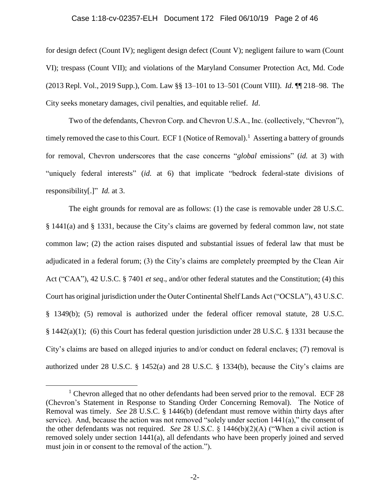# Case 1:18-cv-02357-ELH Document 172 Filed 06/10/19 Page 2 of 46

for design defect (Count IV); negligent design defect (Count V); negligent failure to warn (Count VI); trespass (Count VII); and violations of the Maryland Consumer Protection Act, Md. Code (2013 Repl. Vol., 2019 Supp.), Com. Law §§ 13–101 to 13–501 (Count VIII). *Id*. ¶¶ 218–98. The City seeks monetary damages, civil penalties, and equitable relief. *Id*.

Two of the defendants, Chevron Corp. and Chevron U.S.A., Inc. (collectively, "Chevron"), timely removed the case to this Court. ECF 1 (Notice of Removal).<sup>1</sup> Asserting a battery of grounds for removal, Chevron underscores that the case concerns "*global* emissions" (*id.* at 3) with "uniquely federal interests" (*id.* at 6) that implicate "bedrock federal-state divisions of responsibility[.]" *Id.* at 3.

The eight grounds for removal are as follows: (1) the case is removable under 28 U.S.C. § 1441(a) and § 1331, because the City's claims are governed by federal common law, not state common law; (2) the action raises disputed and substantial issues of federal law that must be adjudicated in a federal forum; (3) the City's claims are completely preempted by the Clean Air Act ("CAA"), 42 U.S.C. § 7401 *et seq*., and/or other federal statutes and the Constitution; (4) this Court has original jurisdiction under the Outer Continental Shelf Lands Act ("OCSLA"), 43 U.S.C. § 1349(b); (5) removal is authorized under the federal officer removal statute, 28 U.S.C. § 1442(a)(1); (6) this Court has federal question jurisdiction under 28 U.S.C. § 1331 because the City's claims are based on alleged injuries to and/or conduct on federal enclaves; (7) removal is authorized under 28 U.S.C. § 1452(a) and 28 U.S.C. § 1334(b), because the City's claims are

 $\overline{a}$ 

 $1$  Chevron alleged that no other defendants had been served prior to the removal. ECF 28 (Chevron's Statement in Response to Standing Order Concerning Removal). The Notice of Removal was timely. *See* 28 U.S.C. § 1446(b) (defendant must remove within thirty days after service). And, because the action was not removed "solely under section 1441(a)," the consent of the other defendants was not required. *See* 28 U.S.C. § 1446(b)(2)(A) ("When a civil action is removed solely under section 1441(a), all defendants who have been properly joined and served must join in or consent to the removal of the action.").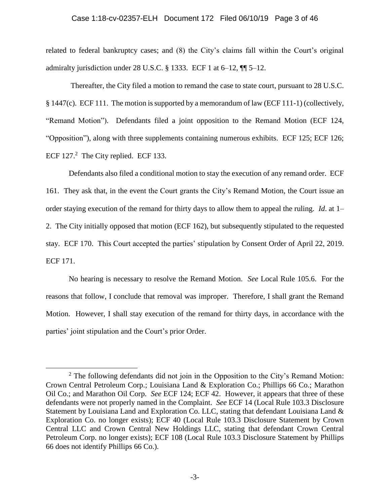# Case 1:18-cv-02357-ELH Document 172 Filed 06/10/19 Page 3 of 46

related to federal bankruptcy cases; and (8) the City's claims fall within the Court's original admiralty jurisdiction under 28 U.S.C. § 1333. ECF 1 at 6–12, ¶¶ 5–12.

Thereafter, the City filed a motion to remand the case to state court, pursuant to 28 U.S.C. § 1447(c). ECF 111. The motion is supported by a memorandum of law (ECF 111-1) (collectively, "Remand Motion"). Defendants filed a joint opposition to the Remand Motion (ECF 124, "Opposition"), along with three supplements containing numerous exhibits. ECF 125; ECF 126; ECF 127.<sup>2</sup> The City replied. ECF 133.

Defendants also filed a conditional motion to stay the execution of any remand order. ECF 161. They ask that, in the event the Court grants the City's Remand Motion, the Court issue an order staying execution of the remand for thirty days to allow them to appeal the ruling. *Id*. at 1– 2. The City initially opposed that motion (ECF 162), but subsequently stipulated to the requested stay. ECF 170. This Court accepted the parties' stipulation by Consent Order of April 22, 2019. ECF 171.

No hearing is necessary to resolve the Remand Motion. *See* Local Rule 105.6. For the reasons that follow, I conclude that removal was improper. Therefore, I shall grant the Remand Motion. However, I shall stay execution of the remand for thirty days, in accordance with the parties' joint stipulation and the Court's prior Order.

 $\overline{a}$ 

<sup>&</sup>lt;sup>2</sup> The following defendants did not join in the Opposition to the City's Remand Motion: Crown Central Petroleum Corp.; Louisiana Land & Exploration Co.; Phillips 66 Co.; Marathon Oil Co.; and Marathon Oil Corp. *See* ECF 124; ECF 42. However, it appears that three of these defendants were not properly named in the Complaint. *See* ECF 14 (Local Rule 103.3 Disclosure Statement by Louisiana Land and Exploration Co. LLC, stating that defendant Louisiana Land & Exploration Co. no longer exists); ECF 40 (Local Rule 103.3 Disclosure Statement by Crown Central LLC and Crown Central New Holdings LLC, stating that defendant Crown Central Petroleum Corp. no longer exists); ECF 108 (Local Rule 103.3 Disclosure Statement by Phillips 66 does not identify Phillips 66 Co.).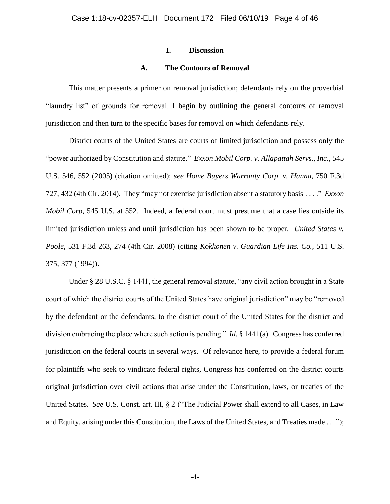### **I. Discussion**

# **A. The Contours of Removal**

This matter presents a primer on removal jurisdiction; defendants rely on the proverbial "laundry list" of grounds for removal. I begin by outlining the general contours of removal jurisdiction and then turn to the specific bases for removal on which defendants rely.

District courts of the United States are courts of limited jurisdiction and possess only the "power authorized by Constitution and statute." *Exxon Mobil Corp. v. Allapattah Servs., Inc.*, 545 U.S. 546, 552 (2005) (citation omitted); *see Home Buyers Warranty Corp. v. Hanna*, 750 F.3d 727, 432 (4th Cir. 2014). They "may not exercise jurisdiction absent a statutory basis . . . ." *Exxon Mobil Corp*, 545 U.S. at 552. Indeed, a federal court must presume that a case lies outside its limited jurisdiction unless and until jurisdiction has been shown to be proper. *United States v. Poole*, 531 F.3d 263, 274 (4th Cir. 2008) (citing *Kokkonen v. Guardian Life Ins. Co.*, 511 U.S. 375, 377 (1994)).

Under § 28 U.S.C. § 1441, the general removal statute, "any civil action brought in a State court of which the district courts of the United States have original jurisdiction" may be "removed by the defendant or the defendants, to the district court of the United States for the district and division embracing the place where such action is pending." *Id.* § 1441(a). Congress has conferred jurisdiction on the federal courts in several ways. Of relevance here, to provide a federal forum for plaintiffs who seek to vindicate federal rights, Congress has conferred on the district courts original jurisdiction over civil actions that arise under the Constitution, laws, or treaties of the United States. *See* U.S. Const. art. III, § 2 ("The Judicial Power shall extend to all Cases, in Law and Equity, arising under this Constitution, the Laws of the United States, and Treaties made . . .");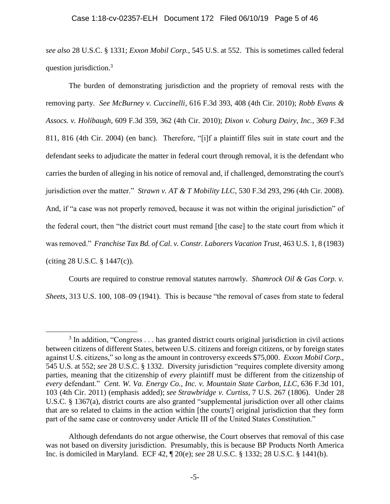*see also* 28 U.S.C. § 1331; *Exxon Mobil Corp.*, 545 U.S. at 552. This is sometimes called federal question jurisdiction.<sup>3</sup>

The burden of demonstrating jurisdiction and the propriety of removal rests with the removing party. *See McBurney v. Cuccinelli*, 616 F.3d 393, 408 (4th Cir. 2010); *Robb Evans & Assocs. v. Holibaugh*, 609 F.3d 359, 362 (4th Cir. 2010); *Dixon v. Coburg Dairy, Inc.*, 369 F.3d 811, 816 (4th Cir. 2004) (en banc). Therefore, "[i]f a plaintiff files suit in state court and the defendant seeks to adjudicate the matter in federal court through removal, it is the defendant who carries the burden of alleging in his notice of removal and, if challenged, demonstrating the court's jurisdiction over the matter." *Strawn v. AT & T Mobility LLC*, 530 F.3d 293, 296 (4th Cir. 2008). And, if "a case was not properly removed, because it was not within the original jurisdiction" of the federal court, then "the district court must remand [the case] to the state court from which it was removed." *Franchise Tax Bd. of Cal. v. Constr. Laborers Vacation Trust*, 463 U.S. 1, 8 (1983) (citing 28 U.S.C. § 1447(c)).

Courts are required to construe removal statutes narrowly. *Shamrock Oil & Gas Corp. v. Sheets*, 313 U.S. 100, 108–09 (1941). This is because "the removal of cases from state to federal

 $\overline{a}$ 

<sup>&</sup>lt;sup>3</sup> In addition, "Congress . . . has granted district courts original jurisdiction in civil actions between citizens of different States, between U.S. citizens and foreign citizens, or by foreign states against U.S. citizens," so long as the amount in controversy exceeds \$75,000. *Exxon Mobil Corp.*, 545 U.S. at 552; *see* 28 U.S.C. § 1332. Diversity jurisdiction "requires complete diversity among parties, meaning that the citizenship of *every* plaintiff must be different from the citizenship of *every* defendant." *Cent. W. Va. Energy Co., Inc. v. Mountain State Carbon, LLC*, 636 F.3d 101, 103 (4th Cir. 2011) (emphasis added); *see Strawbridge v. Curtiss*, 7 U.S. 267 (1806). Under 28 U.S.C. § 1367(a), district courts are also granted "supplemental jurisdiction over all other claims that are so related to claims in the action within [the courts'] original jurisdiction that they form part of the same case or controversy under Article III of the United States Constitution."

Although defendants do not argue otherwise, the Court observes that removal of this case was not based on diversity jurisdiction. Presumably, this is because BP Products North America Inc. is domiciled in Maryland. ECF 42, ¶ 20(e); *see* 28 U.S.C. § 1332; 28 U.S.C. § 1441(b).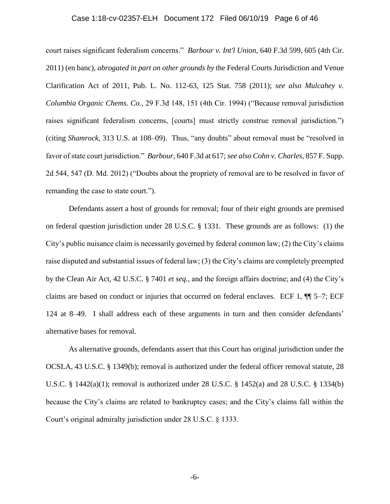# Case 1:18-cv-02357-ELH Document 172 Filed 06/10/19 Page 6 of 46

court raises significant federalism concerns." *Barbour v. Int'l Union*, 640 F.3d 599, 605 (4th Cir. 2011) (en banc), *abrogated in part on other grounds by* the Federal Courts Jurisdiction and Venue Clarification Act of 2011, Pub. L. No. 112-63, 125 Stat. 758 (2011); *see also Mulcahey v. Columbia Organic Chems. Co.*, 29 F.3d 148, 151 (4th Cir. 1994) ("Because removal jurisdiction raises significant federalism concerns, [courts] must strictly construe removal jurisdiction.") (citing *Shamrock*, 313 U.S. at 108–09). Thus, "any doubts" about removal must be "resolved in favor of state court jurisdiction." *Barbour*, 640 F.3d at 617; *see also Cohn v. Charles*, 857 F. Supp. 2d 544, 547 (D. Md. 2012) ("Doubts about the propriety of removal are to be resolved in favor of remanding the case to state court.").

Defendants assert a host of grounds for removal; four of their eight grounds are premised on federal question jurisdiction under 28 U.S.C. § 1331. These grounds are as follows: (1) the City's public nuisance claim is necessarily governed by federal common law; (2) the City's claims raise disputed and substantial issues of federal law; (3) the City's claims are completely preempted by the Clean Air Act, 42 U.S.C. § 7401 *et seq.*, and the foreign affairs doctrine; and (4) the City's claims are based on conduct or injuries that occurred on federal enclaves. ECF 1, ¶¶ 5–7; ECF 124 at 8–49. I shall address each of these arguments in turn and then consider defendants' alternative bases for removal.

As alternative grounds, defendants assert that this Court has original jurisdiction under the OCSLA, 43 U.S.C. § 1349(b); removal is authorized under the federal officer removal statute, 28 U.S.C. § 1442(a)(1); removal is authorized under 28 U.S.C. § 1452(a) and 28 U.S.C. § 1334(b) because the City's claims are related to bankruptcy cases; and the City's claims fall within the Court's original admiralty jurisdiction under 28 U.S.C. § 1333.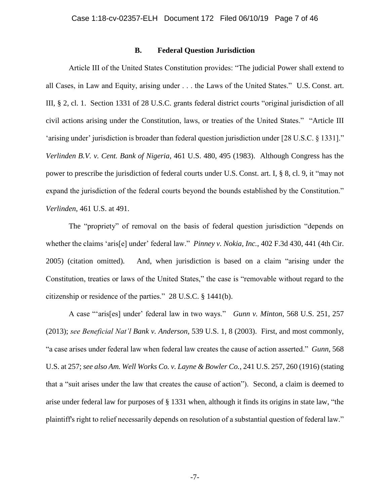# **B. Federal Question Jurisdiction**

Article III of the United States Constitution provides: "The judicial Power shall extend to all Cases, in Law and Equity, arising under . . . the Laws of the United States." U.S. Const. art. III, § 2, cl. 1. Section 1331 of 28 U.S.C. grants federal district courts "original jurisdiction of all civil actions arising under the Constitution, laws, or treaties of the United States." "Article III 'arising under' jurisdiction is broader than federal question jurisdiction under [28 U.S.C. § 1331]." *Verlinden B.V. v. Cent. Bank of Nigeria*, 461 U.S. 480, 495 (1983). Although Congress has the power to prescribe the jurisdiction of federal courts under U.S. Const. art. I, § 8, cl. 9, it "may not expand the jurisdiction of the federal courts beyond the bounds established by the Constitution." *Verlinden*, 461 U.S. at 491.

The "propriety" of removal on the basis of federal question jurisdiction "depends on whether the claims 'aris[e] under' federal law." *Pinney v. Nokia, Inc.*, 402 F.3d 430, 441 (4th Cir. 2005) (citation omitted). And, when jurisdiction is based on a claim "arising under the Constitution, treaties or laws of the United States," the case is "removable without regard to the citizenship or residence of the parties." 28 U.S.C. § 1441(b).

A case "'aris[es] under' federal law in two ways." *Gunn v. Minton*, 568 U.S. 251, 257 (2013); *see Beneficial Nat'l Bank v. Anderson*, 539 U.S. 1, 8 (2003). First, and most commonly, "a case arises under federal law when federal law creates the cause of action asserted." *Gunn*, 568 U.S. at 257; *see also Am. Well Works Co. v. Layne & Bowler Co.*, 241 U.S. 257, 260 (1916) (stating that a "suit arises under the law that creates the cause of action"). Second, a claim is deemed to arise under federal law for purposes of § 1331 when, although it finds its origins in state law, "the plaintiff's right to relief necessarily depends on resolution of a substantial question of federal law."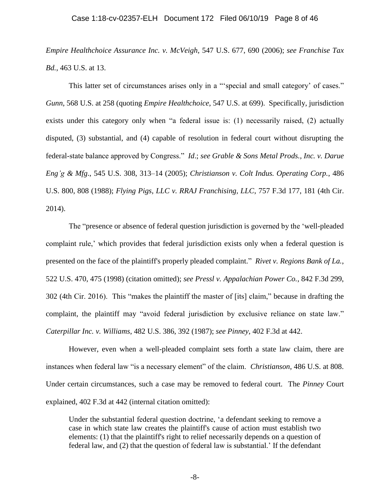*Empire Healthchoice Assurance Inc. v. McVeigh*, 547 U.S. 677, 690 (2006); *see Franchise Tax Bd.*, 463 U.S. at 13.

This latter set of circumstances arises only in a "special and small category' of cases." *Gunn*, 568 U.S. at 258 (quoting *Empire Healthchoice*, 547 U.S. at 699). Specifically, jurisdiction exists under this category only when "a federal issue is: (1) necessarily raised, (2) actually disputed, (3) substantial, and (4) capable of resolution in federal court without disrupting the federal-state balance approved by Congress." *Id*.; *see Grable & Sons Metal Prods., Inc. v. Darue Eng'g & Mfg*., 545 U.S. 308, 313–14 (2005); *Christianson v. Colt Indus. Operating Corp.*, 486 U.S. 800, 808 (1988); *Flying Pigs, LLC v. RRAJ Franchising, LLC*, 757 F.3d 177, 181 (4th Cir. 2014).

The "presence or absence of federal question jurisdiction is governed by the 'well-pleaded complaint rule,' which provides that federal jurisdiction exists only when a federal question is presented on the face of the plaintiff's properly pleaded complaint." *Rivet v. Regions Bank of La.*, 522 U.S. 470, 475 (1998) (citation omitted); *see Pressl v. Appalachian Power Co.*, 842 F.3d 299, 302 (4th Cir. 2016). This "makes the plaintiff the master of [its] claim," because in drafting the complaint, the plaintiff may "avoid federal jurisdiction by exclusive reliance on state law." *Caterpillar Inc. v. Williams*, 482 U.S. 386, 392 (1987); *see Pinney*, 402 F.3d at 442.

However, even when a well-pleaded complaint sets forth a state law claim, there are instances when federal law "is a necessary element" of the claim. *Christianson*, 486 U.S. at 808. Under certain circumstances, such a case may be removed to federal court. The *Pinney* Court explained, 402 F.3d at 442 (internal citation omitted):

Under the substantial federal question doctrine, 'a defendant seeking to remove a case in which state law creates the plaintiff's cause of action must establish two elements: (1) that the plaintiff's right to relief necessarily depends on a question of federal law, and (2) that the question of federal law is substantial.' If the defendant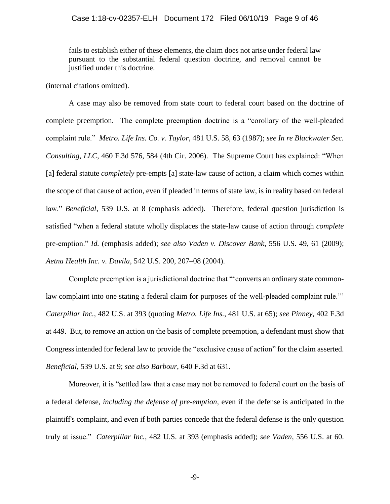### Case 1:18-cv-02357-ELH Document 172 Filed 06/10/19 Page 9 of 46

fails to establish either of these elements, the claim does not arise under federal law pursuant to the substantial federal question doctrine, and removal cannot be justified under this doctrine.

(internal citations omitted).

A case may also be removed from state court to federal court based on the doctrine of complete preemption. The complete preemption doctrine is a "corollary of the well-pleaded complaint rule." *Metro. Life Ins. Co. v. Taylor*, 481 U.S. 58, 63 (1987); *see In re Blackwater Sec. Consulting, LLC*, 460 F.3d 576, 584 (4th Cir. 2006). The Supreme Court has explained: "When [a] federal statute *completely* pre-empts [a] state-law cause of action, a claim which comes within the scope of that cause of action, even if pleaded in terms of state law, is in reality based on federal law." *Beneficial*, 539 U.S. at 8 (emphasis added). Therefore, federal question jurisdiction is satisfied "when a federal statute wholly displaces the state-law cause of action through *complete* pre-emption." *Id.* (emphasis added); *see also Vaden v. Discover Bank*, 556 U.S. 49, 61 (2009); *Aetna Health Inc. v. Davila*, 542 U.S. 200, 207–08 (2004).

Complete preemption is a jurisdictional doctrine that "'converts an ordinary state commonlaw complaint into one stating a federal claim for purposes of the well-pleaded complaint rule."' *Caterpillar Inc.*, 482 U.S. at 393 (quoting *Metro. Life Ins.*, 481 U.S. at 65); *see Pinney*, 402 F.3d at 449. But, to remove an action on the basis of complete preemption, a defendant must show that Congress intended for federal law to provide the "exclusive cause of action" for the claim asserted. *Beneficial*, 539 U.S. at 9; *see also Barbour*, 640 F.3d at 631.

Moreover, it is "settled law that a case may not be removed to federal court on the basis of a federal defense, *including the defense of pre-emption,* even if the defense is anticipated in the plaintiff's complaint, and even if both parties concede that the federal defense is the only question truly at issue." *Caterpillar Inc.*, 482 U.S. at 393 (emphasis added); *see Vaden*, 556 U.S. at 60.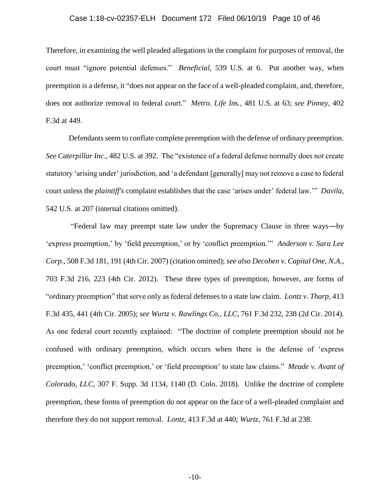# Case 1:18-cv-02357-ELH Document 172 Filed 06/10/19 Page 10 of 46

Therefore, in examining the well pleaded allegations in the complaint for purposes of removal, the court must "ignore potential defenses." *Beneficial*, 539 U.S. at 6.Put another way, when preemption is a defense, it "does not appear on the face of a well-pleaded complaint, and, therefore, does not authorize removal to federal court." *Metro. Life Ins.*, 481 U.S. at 63; *see Pinney*, 402 F.3d at 449.

Defendants seem to conflate complete preemption with the defense of ordinary preemption. *See Caterpillar Inc*., 482 U.S. at 392. The "existence of a federal defense normally does not create statutory 'arising under' jurisdiction, and 'a defendant [generally] may not remove a case to federal court unless the *plaintiff's* complaint establishes that the case 'arises under' federal law.'" *Davila*, 542 U.S. at 207 (internal citations omitted).

"Federal law may preempt state law under the Supremacy Clause in three ways―by 'express preemption,' by 'field preemption,' or by 'conflict preemption.'" *Anderson v. Sara Lee Corp.*, 508 F.3d 181, 191 (4th Cir. 2007) (citation omitted); *see also Decohen v. Capital One, N.A.*, 703 F.3d 216, 223 (4th Cir. 2012). These three types of preemption, however, are forms of "ordinary preemption" that serve only as federal defenses to a state law claim. *Lontz v. Tharp*, 413 F.3d 435, 441 (4th Cir. 2005); *see Wurtz v. Rawlings Co., LLC*, 761 F.3d 232, 238 (2d Cir. 2014). As one federal court recently explained: "The doctrine of complete preemption should not be confused with ordinary preemption, which occurs when there is the defense of 'express preemption,' 'conflict preemption,' or 'field preemption' to state law claims." *Meade v. Avant of Colorado, LLC*, 307 F. Supp. 3d 1134, 1140 (D. Colo. 2018). Unlike the doctrine of complete preemption, these forms of preemption do not appear on the face of a well-pleaded complaint and therefore they do not support removal. *Lontz*, 413 F.3d at 440; *Wurtz*, 761 F.3d at 238.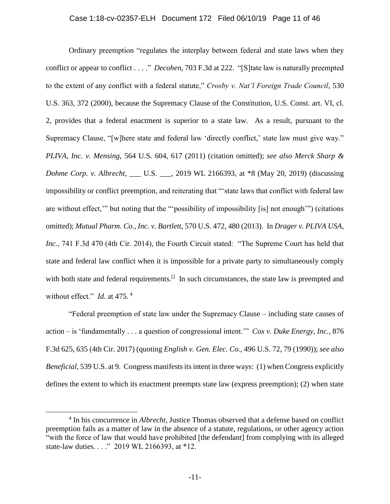Ordinary preemption "regulates the interplay between federal and state laws when they conflict or appear to conflict . . . ." *Decohen*, 703 F.3d at 222. "[S]tate law is naturally preempted to the extent of any conflict with a federal statute," *Crosby v. Nat'l Foreign Trade Council*, 530 U.S. 363, 372 (2000), because the Supremacy Clause of the Constitution, U.S. Const. art. VI, cl. 2, provides that a federal enactment is superior to a state law. As a result, pursuant to the Supremacy Clause, "[w]here state and federal law 'directly conflict,' state law must give way." *PLIVA, Inc. v. Mensing*, 564 U.S. 604, 617 (2011) (citation omitted); *see also Merck Sharp & Dohme Corp. v. Albrecht*, \_\_\_ U.S. \_\_\_, 2019 WL 2166393, at \*8 (May 20, 2019) (discussing impossibility or conflict preemption, and reiterating that "'state laws that conflict with federal law are without effect,'" but noting that the "'possibility of impossibility [is] not enough'") (citations omitted); *Mutual Pharm. Co., Inc. v. Bartlett*, 570 U.S. 472, 480 (2013). In *Drager v. PLIVA USA, Inc.*, 741 F.3d 470 (4th Cir. 2014), the Fourth Circuit stated: "The Supreme Court has held that state and federal law conflict when it is impossible for a private party to simultaneously comply with both state and federal requirements.<sup>[]</sup> In such circumstances, the state law is preempted and without effect." *Id*. at 475. <sup>4</sup>

"Federal preemption of state law under the Supremacy Clause – including state causes of action – is 'fundamentally . . . a question of congressional intent.'" *Cox v. Duke Energy, Inc.*, 876 F.3d 625, 635 (4th Cir. 2017) (quoting *English v. Gen. Elec. Co.*, 496 U.S. 72, 79 (1990)); *see also Beneficial*, 539 U.S. at 9. Congress manifests its intent in three ways: (1) when Congress explicitly defines the extent to which its enactment preempts state law (express preemption); (2) when state

 $\overline{a}$ 

<sup>4</sup> In his concurrence in *Albrecht*, Justice Thomas observed that a defense based on conflict preemption fails as a matter of law in the absence of a statute, regulations, or other agency action "with the force of law that would have prohibited [the defendant] from complying with its alleged state-law duties. . . ." 2019 WL 2166393, at \*12.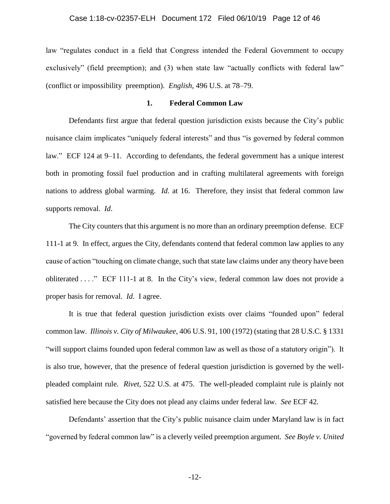law "regulates conduct in a field that Congress intended the Federal Government to occupy exclusively" (field preemption); and (3) when state law "actually conflicts with federal law" (conflict or impossibility preemption). *English*, 496 U.S. at 78–79.

#### **1. Federal Common Law**

Defendants first argue that federal question jurisdiction exists because the City's public nuisance claim implicates "uniquely federal interests" and thus "is governed by federal common law." ECF 124 at 9–11. According to defendants, the federal government has a unique interest both in promoting fossil fuel production and in crafting multilateral agreements with foreign nations to address global warming. *Id*. at 16. Therefore, they insist that federal common law supports removal. *Id*.

The City counters that this argument is no more than an ordinary preemption defense. ECF 111-1 at 9. In effect, argues the City, defendants contend that federal common law applies to any cause of action "touching on climate change, such that state law claims under any theory have been obliterated . . . ." ECF 111-1 at 8. In the City's view, federal common law does not provide a proper basis for removal. *Id*. I agree.

It is true that federal question jurisdiction exists over claims "founded upon" federal common law. *Illinois v. City of Milwaukee*, 406 U.S. 91, 100 (1972) (stating that 28 U.S.C. § 1331 "will support claims founded upon federal common law as well as those of a statutory origin"). It is also true, however, that the presence of federal question jurisdiction is governed by the wellpleaded complaint rule. *Rivet*, 522 U.S. at 475. The well-pleaded complaint rule is plainly not satisfied here because the City does not plead any claims under federal law. *See* ECF 42.

Defendants' assertion that the City's public nuisance claim under Maryland law is in fact "governed by federal common law" is a cleverly veiled preemption argument. *See Boyle v. United*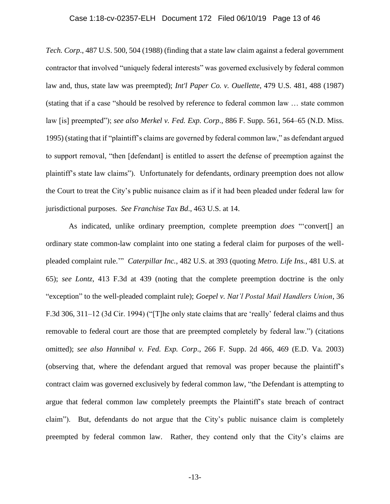*Tech. Corp*., 487 U.S. 500, 504 (1988) (finding that a state law claim against a federal government contractor that involved "uniquely federal interests" was governed exclusively by federal common law and, thus, state law was preempted); *Int'l Paper Co. v. Ouellette*, 479 U.S. 481, 488 (1987) (stating that if a case "should be resolved by reference to federal common law … state common law [is] preempted"); *see also Merkel v. Fed. Exp. Corp*., 886 F. Supp. 561, 564–65 (N.D. Miss. 1995) (stating that if "plaintiff's claims are governed by federal common law," as defendant argued to support removal, "then [defendant] is entitled to assert the defense of preemption against the plaintiff's state law claims"). Unfortunately for defendants, ordinary preemption does not allow the Court to treat the City's public nuisance claim as if it had been pleaded under federal law for jurisdictional purposes. *See Franchise Tax Bd*., 463 U.S. at 14.

As indicated, unlike ordinary preemption, complete preemption *does* "'convert[] an ordinary state common-law complaint into one stating a federal claim for purposes of the wellpleaded complaint rule.'" *Caterpillar Inc.*, 482 U.S. at 393 (quoting *Metro. Life Ins.*, 481 U.S. at 65); *see Lontz*, 413 F.3d at 439 (noting that the complete preemption doctrine is the only "exception" to the well-pleaded complaint rule); *Goepel v. Nat'l Postal Mail Handlers Union*, 36 F.3d 306, 311–12 (3d Cir. 1994) ("[T]he only state claims that are 'really' federal claims and thus removable to federal court are those that are preempted completely by federal law.") (citations omitted); *see also Hannibal v. Fed. Exp. Corp*., 266 F. Supp. 2d 466, 469 (E.D. Va. 2003) (observing that, where the defendant argued that removal was proper because the plaintiff's contract claim was governed exclusively by federal common law, "the Defendant is attempting to argue that federal common law completely preempts the Plaintiff's state breach of contract claim"). But, defendants do not argue that the City's public nuisance claim is completely preempted by federal common law. Rather, they contend only that the City's claims are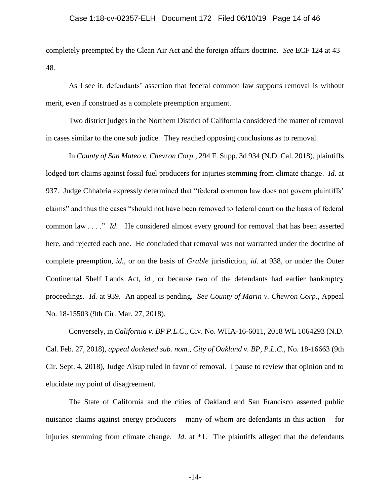completely preempted by the Clean Air Act and the foreign affairs doctrine. *See* ECF 124 at 43– 48.

As I see it, defendants' assertion that federal common law supports removal is without merit, even if construed as a complete preemption argument.

Two district judges in the Northern District of California considered the matter of removal in cases similar to the one sub judice. They reached opposing conclusions as to removal.

In *County of San Mateo v. Chevron Corp.*, 294 F. Supp. 3d 934 (N.D. Cal. 2018), plaintiffs lodged tort claims against fossil fuel producers for injuries stemming from climate change. *Id*. at 937. Judge Chhabria expressly determined that "federal common law does not govern plaintiffs' claims" and thus the cases "should not have been removed to federal court on the basis of federal common law . . . ." *Id*. He considered almost every ground for removal that has been asserted here, and rejected each one. He concluded that removal was not warranted under the doctrine of complete preemption, *id.*, or on the basis of *Grable* jurisdiction, *id.* at 938, or under the Outer Continental Shelf Lands Act, *id.*, or because two of the defendants had earlier bankruptcy proceedings. *Id.* at 939. An appeal is pending. *See County of Marin v. Chevron Corp*., Appeal No. 18-15503 (9th Cir. Mar. 27, 2018).

Conversely, in *California v. BP P.L.C*., Civ. No. WHA-16-6011, 2018 WL 1064293 (N.D. Cal. Feb. 27, 2018), *appeal docketed sub. nom.*, *City of Oakland v. BP, P.L.C*., No. 18-16663 (9th Cir. Sept. 4, 2018), Judge Alsup ruled in favor of removal. I pause to review that opinion and to elucidate my point of disagreement.

The State of California and the cities of Oakland and San Francisco asserted public nuisance claims against energy producers – many of whom are defendants in this action – for injuries stemming from climate change. *Id*. at \*1. The plaintiffs alleged that the defendants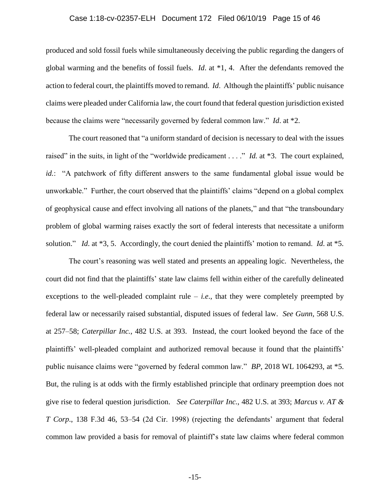# Case 1:18-cv-02357-ELH Document 172 Filed 06/10/19 Page 15 of 46

produced and sold fossil fuels while simultaneously deceiving the public regarding the dangers of global warming and the benefits of fossil fuels. *Id*. at \*1, 4. After the defendants removed the action to federal court, the plaintiffs moved to remand. *Id*. Although the plaintiffs' public nuisance claims were pleaded under California law, the court found that federal question jurisdiction existed because the claims were "necessarily governed by federal common law." *Id*. at \*2.

The court reasoned that "a uniform standard of decision is necessary to deal with the issues raised" in the suits, in light of the "worldwide predicament . . . ." *Id.* at \*3. The court explained, *id.*: "A patchwork of fifty different answers to the same fundamental global issue would be unworkable." Further, the court observed that the plaintiffs' claims "depend on a global complex of geophysical cause and effect involving all nations of the planets," and that "the transboundary problem of global warming raises exactly the sort of federal interests that necessitate a uniform solution." *Id*. at \*3, 5. Accordingly, the court denied the plaintiffs' motion to remand. *Id*. at \*5.

The court's reasoning was well stated and presents an appealing logic. Nevertheless, the court did not find that the plaintiffs' state law claims fell within either of the carefully delineated exceptions to the well-pleaded complaint rule  $-$  *i.e.*, that they were completely preempted by federal law or necessarily raised substantial, disputed issues of federal law. *See Gunn*, 568 U.S. at 257–58; *Caterpillar Inc.*, 482 U.S. at 393. Instead, the court looked beyond the face of the plaintiffs' well-pleaded complaint and authorized removal because it found that the plaintiffs' public nuisance claims were "governed by federal common law." *BP*, 2018 WL 1064293, at \*5. But, the ruling is at odds with the firmly established principle that ordinary preemption does not give rise to federal question jurisdiction. *See Caterpillar Inc.*, 482 U.S. at 393; *Marcus v. AT & T Corp*., 138 F.3d 46, 53–54 (2d Cir. 1998) (rejecting the defendants' argument that federal common law provided a basis for removal of plaintiff's state law claims where federal common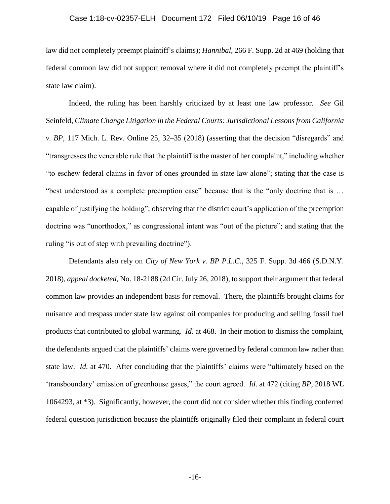### Case 1:18-cv-02357-ELH Document 172 Filed 06/10/19 Page 16 of 46

law did not completely preempt plaintiff's claims); *Hannibal*, 266 F. Supp. 2d at 469 (holding that federal common law did not support removal where it did not completely preempt the plaintiff's state law claim).

Indeed, the ruling has been harshly criticized by at least one law professor. *See* Gil Seinfeld, *Climate Change Litigation in the Federal Courts: Jurisdictional Lessons from California v. BP*, 117 Mich. L. Rev. Online 25, 32–35 (2018) (asserting that the decision "disregards" and "transgresses the venerable rule that the plaintiff is the master of her complaint," including whether "to eschew federal claims in favor of ones grounded in state law alone"; stating that the case is "best understood as a complete preemption case" because that is the "only doctrine that is … capable of justifying the holding"; observing that the district court's application of the preemption doctrine was "unorthodox," as congressional intent was "out of the picture"; and stating that the ruling "is out of step with prevailing doctrine").

Defendants also rely on *City of New York v. BP P.L.C*., 325 F. Supp. 3d 466 (S.D.N.Y. 2018), *appeal docketed*, No. 18-2188 (2d Cir. July 26, 2018), to support their argument that federal common law provides an independent basis for removal. There, the plaintiffs brought claims for nuisance and trespass under state law against oil companies for producing and selling fossil fuel products that contributed to global warming. *Id*. at 468. In their motion to dismiss the complaint, the defendants argued that the plaintiffs' claims were governed by federal common law rather than state law. *Id*. at 470. After concluding that the plaintiffs' claims were "ultimately based on the 'transboundary' emission of greenhouse gases," the court agreed. *Id*. at 472 (citing *BP*, 2018 WL 1064293, at \*3). Significantly, however, the court did not consider whether this finding conferred federal question jurisdiction because the plaintiffs originally filed their complaint in federal court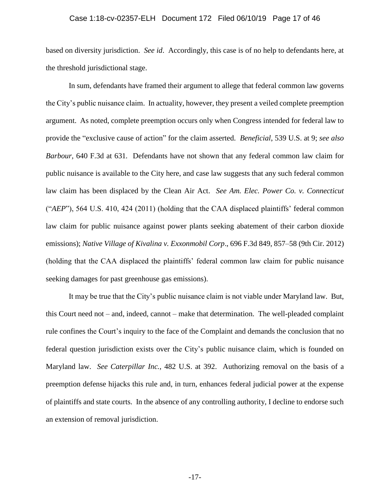### Case 1:18-cv-02357-ELH Document 172 Filed 06/10/19 Page 17 of 46

based on diversity jurisdiction. *See id*. Accordingly, this case is of no help to defendants here, at the threshold jurisdictional stage.

In sum, defendants have framed their argument to allege that federal common law governs the City's public nuisance claim. In actuality, however, they present a veiled complete preemption argument. As noted, complete preemption occurs only when Congress intended for federal law to provide the "exclusive cause of action" for the claim asserted. *Beneficial*, 539 U.S. at 9; *see also Barbour,* 640 F.3d at 631*.* Defendants have not shown that any federal common law claim for public nuisance is available to the City here, and case law suggests that any such federal common law claim has been displaced by the Clean Air Act. *See Am. Elec. Power Co. v. Connecticut* ("*AEP*"), 564 U.S. 410, 424 (2011) (holding that the CAA displaced plaintiffs' federal common law claim for public nuisance against power plants seeking abatement of their carbon dioxide emissions); *Native Village of Kivalina v. Exxonmobil Corp*., 696 F.3d 849, 857–58 (9th Cir. 2012) (holding that the CAA displaced the plaintiffs' federal common law claim for public nuisance seeking damages for past greenhouse gas emissions).

It may be true that the City's public nuisance claim is not viable under Maryland law. But, this Court need not – and, indeed, cannot – make that determination. The well-pleaded complaint rule confines the Court's inquiry to the face of the Complaint and demands the conclusion that no federal question jurisdiction exists over the City's public nuisance claim, which is founded on Maryland law. *See Caterpillar Inc.*, 482 U.S. at 392. Authorizing removal on the basis of a preemption defense hijacks this rule and, in turn, enhances federal judicial power at the expense of plaintiffs and state courts. In the absence of any controlling authority, I decline to endorse such an extension of removal jurisdiction.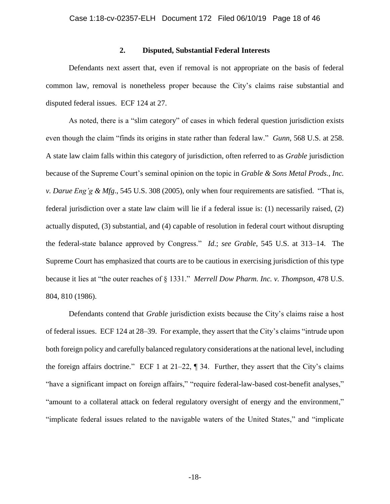# **2. Disputed, Substantial Federal Interests**

Defendants next assert that, even if removal is not appropriate on the basis of federal common law, removal is nonetheless proper because the City's claims raise substantial and disputed federal issues. ECF 124 at 27.

As noted, there is a "slim category" of cases in which federal question jurisdiction exists even though the claim "finds its origins in state rather than federal law." *Gunn*, 568 U.S. at 258. A state law claim falls within this category of jurisdiction, often referred to as *Grable* jurisdiction because of the Supreme Court's seminal opinion on the topic in *Grable & Sons Metal Prods., Inc. v. Darue Eng'g & Mfg*., 545 U.S. 308 (2005), only when four requirements are satisfied. "That is, federal jurisdiction over a state law claim will lie if a federal issue is: (1) necessarily raised, (2) actually disputed, (3) substantial, and (4) capable of resolution in federal court without disrupting the federal-state balance approved by Congress." *Id*.; *see Grable*, 545 U.S. at 313–14. The Supreme Court has emphasized that courts are to be cautious in exercising jurisdiction of this type because it lies at "the outer reaches of § 1331." *Merrell Dow Pharm. Inc. v. Thompson*, 478 U.S. 804, 810 (1986).

Defendants contend that *Grable* jurisdiction exists because the City's claims raise a host of federal issues. ECF 124 at 28–39. For example, they assert that the City's claims "intrude upon both foreign policy and carefully balanced regulatory considerations at the national level, including the foreign affairs doctrine." ECF 1 at  $21-22$ ,  $\parallel$  34. Further, they assert that the City's claims "have a significant impact on foreign affairs," "require federal-law-based cost-benefit analyses," "amount to a collateral attack on federal regulatory oversight of energy and the environment," "implicate federal issues related to the navigable waters of the United States," and "implicate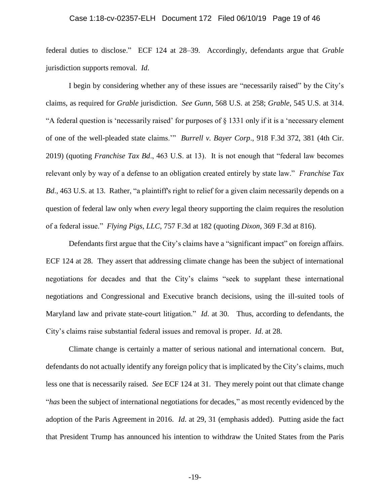### Case 1:18-cv-02357-ELH Document 172 Filed 06/10/19 Page 19 of 46

federal duties to disclose." ECF 124 at 28–39. Accordingly, defendants argue that *Grable* jurisdiction supports removal. *Id*.

I begin by considering whether any of these issues are "necessarily raised" by the City's claims, as required for *Grable* jurisdiction. *See Gunn*, 568 U.S. at 258; *Grable*, 545 U.S. at 314. "A federal question is 'necessarily raised' for purposes of § 1331 only if it is a 'necessary element of one of the well-pleaded state claims.'" *Burrell v. Bayer Corp*., 918 F.3d 372, 381 (4th Cir. 2019) (quoting *Franchise Tax Bd*., 463 U.S. at 13). It is not enough that "federal law becomes relevant only by way of a defense to an obligation created entirely by state law." *Franchise Tax Bd.*, 463 U.S. at 13. Rather, "a plaintiff's right to relief for a given claim necessarily depends on a question of federal law only when *every* legal theory supporting the claim requires the resolution of a federal issue." *Flying Pigs, LLC*, 757 F.3d at 182 (quoting *Dixon*, 369 F.3d at 816).

Defendants first argue that the City's claims have a "significant impact" on foreign affairs. ECF 124 at 28. They assert that addressing climate change has been the subject of international negotiations for decades and that the City's claims "seek to supplant these international negotiations and Congressional and Executive branch decisions, using the ill-suited tools of Maryland law and private state-court litigation." *Id*. at 30. Thus, according to defendants, the City's claims raise substantial federal issues and removal is proper. *Id*. at 28.

Climate change is certainly a matter of serious national and international concern. But, defendants do not actually identify any foreign policy that is implicated by the City's claims, much less one that is necessarily raised. *See* ECF 124 at 31. They merely point out that climate change "*has* been the subject of international negotiations for decades," as most recently evidenced by the adoption of the Paris Agreement in 2016. *Id*. at 29, 31 (emphasis added). Putting aside the fact that President Trump has announced his intention to withdraw the United States from the Paris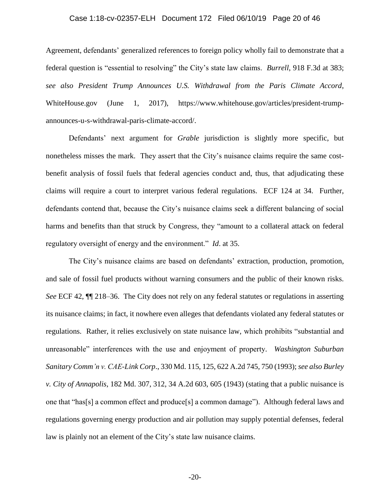### Case 1:18-cv-02357-ELH Document 172 Filed 06/10/19 Page 20 of 46

Agreement, defendants' generalized references to foreign policy wholly fail to demonstrate that a federal question is "essential to resolving" the City's state law claims. *Burrell*, 918 F.3d at 383; *see also President Trump Announces U.S. Withdrawal from the Paris Climate Accord*, WhiteHouse.gov (June 1, 2017), https://www.whitehouse.gov/articles/president-trumpannounces-u-s-withdrawal-paris-climate-accord/.

Defendants' next argument for *Grable* jurisdiction is slightly more specific, but nonetheless misses the mark. They assert that the City's nuisance claims require the same costbenefit analysis of fossil fuels that federal agencies conduct and, thus, that adjudicating these claims will require a court to interpret various federal regulations. ECF 124 at 34. Further, defendants contend that, because the City's nuisance claims seek a different balancing of social harms and benefits than that struck by Congress, they "amount to a collateral attack on federal regulatory oversight of energy and the environment." *Id*. at 35.

The City's nuisance claims are based on defendants' extraction, production, promotion, and sale of fossil fuel products without warning consumers and the public of their known risks. *See* ECF 42, ¶¶ 218–36. The City does not rely on any federal statutes or regulations in asserting its nuisance claims; in fact, it nowhere even alleges that defendants violated any federal statutes or regulations. Rather, it relies exclusively on state nuisance law, which prohibits "substantial and unreasonable" interferences with the use and enjoyment of property. *Washington Suburban Sanitary Comm'n v. CAE-Link Corp*., 330 Md. 115, 125, 622 A.2d 745, 750 (1993); *see also Burley v. City of Annapolis*, 182 Md. 307, 312, 34 A.2d 603, 605 (1943) (stating that a public nuisance is one that "has[s] a common effect and produce[s] a common damage"). Although federal laws and regulations governing energy production and air pollution may supply potential defenses, federal law is plainly not an element of the City's state law nuisance claims.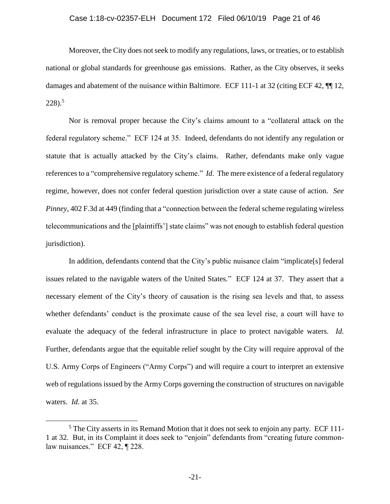### Case 1:18-cv-02357-ELH Document 172 Filed 06/10/19 Page 21 of 46

Moreover, the City does not seek to modify any regulations, laws, or treaties, or to establish national or global standards for greenhouse gas emissions. Rather, as the City observes, it seeks damages and abatement of the nuisance within Baltimore. ECF 111-1 at 32 (citing ECF 42,  $\P$  12,  $228$ ).<sup>5</sup>

Nor is removal proper because the City's claims amount to a "collateral attack on the federal regulatory scheme." ECF 124 at 35. Indeed, defendants do not identify any regulation or statute that is actually attacked by the City's claims. Rather, defendants make only vague referencesto a "comprehensive regulatory scheme." *Id*. The mere existence of a federal regulatory regime, however, does not confer federal question jurisdiction over a state cause of action. *See Pinney*, 402 F.3d at 449 (finding that a "connection between the federal scheme regulating wireless telecommunications and the [plaintiffs'] state claims" was not enough to establish federal question jurisdiction).

In addition, defendants contend that the City's public nuisance claim "implicate[s] federal issues related to the navigable waters of the United States." ECF 124 at 37. They assert that a necessary element of the City's theory of causation is the rising sea levels and that, to assess whether defendants' conduct is the proximate cause of the sea level rise, a court will have to evaluate the adequacy of the federal infrastructure in place to protect navigable waters. *Id.* Further, defendants argue that the equitable relief sought by the City will require approval of the U.S. Army Corps of Engineers ("Army Corps") and will require a court to interpret an extensive web of regulations issued by the Army Corps governing the construction of structures on navigable waters. *Id*. at 35.

 $\overline{a}$ 

<sup>&</sup>lt;sup>5</sup> The City asserts in its Remand Motion that it does not seek to enjoin any party. ECF 111-1 at 32. But, in its Complaint it does seek to "enjoin" defendants from "creating future commonlaw nuisances." ECF 42, ¶ 228.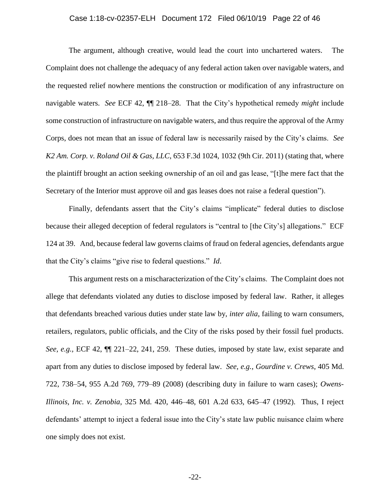### Case 1:18-cv-02357-ELH Document 172 Filed 06/10/19 Page 22 of 46

The argument, although creative, would lead the court into unchartered waters. The Complaint does not challenge the adequacy of any federal action taken over navigable waters, and the requested relief nowhere mentions the construction or modification of any infrastructure on navigable waters. *See* ECF 42, ¶¶ 218–28. That the City's hypothetical remedy *might* include some construction of infrastructure on navigable waters, and thus require the approval of the Army Corps, does not mean that an issue of federal law is necessarily raised by the City's claims. *See K2 Am. Corp. v. Roland Oil & Gas, LLC*, 653 F.3d 1024, 1032 (9th Cir. 2011) (stating that, where the plaintiff brought an action seeking ownership of an oil and gas lease, "[t]he mere fact that the Secretary of the Interior must approve oil and gas leases does not raise a federal question").

Finally, defendants assert that the City's claims "implicate" federal duties to disclose because their alleged deception of federal regulators is "central to [the City's] allegations." ECF 124 at 39. And, because federal law governs claims of fraud on federal agencies, defendants argue that the City's claims "give rise to federal questions." *Id*.

This argument rests on a mischaracterization of the City's claims. The Complaint does not allege that defendants violated any duties to disclose imposed by federal law. Rather, it alleges that defendants breached various duties under state law by, *inter alia*, failing to warn consumers, retailers, regulators, public officials, and the City of the risks posed by their fossil fuel products. *See, e.g.,* ECF 42, ¶¶ 221–22, 241, 259. These duties, imposed by state law, exist separate and apart from any duties to disclose imposed by federal law. *See, e.g.*, *Gourdine v. Crews*, 405 Md. 722, 738–54, 955 A.2d 769, 779–89 (2008) (describing duty in failure to warn cases); *Owens-Illinois, Inc. v. Zenobia*, 325 Md. 420, 446–48, 601 A.2d 633, 645–47 (1992). Thus, I reject defendants' attempt to inject a federal issue into the City's state law public nuisance claim where one simply does not exist.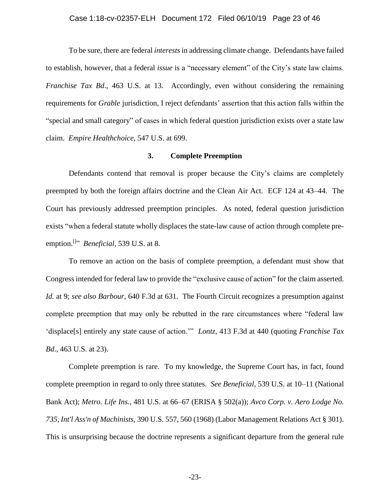# Case 1:18-cv-02357-ELH Document 172 Filed 06/10/19 Page 23 of 46

To be sure, there are federal *interests* in addressing climate change. Defendants have failed to establish, however, that a federal *issue* is a "necessary element" of the City's state law claims. *Franchise Tax Bd.*, 463 U.S. at 13. Accordingly, even without considering the remaining requirements for *Grable* jurisdiction, I reject defendants' assertion that this action falls within the "special and small category" of cases in which federal question jurisdiction exists over a state law claim. *Empire Healthchoice*, 547 U.S. at 699.

### **3. Complete Preemption**

Defendants contend that removal is proper because the City's claims are completely preempted by both the foreign affairs doctrine and the Clean Air Act. ECF 124 at 43–44. The Court has previously addressed preemption principles. As noted, federal question jurisdiction exists "when a federal statute wholly displaces the state-law cause of action through complete preemption.<sup>[]</sup>" *Beneficial*, 539 U.S. at 8.

To remove an action on the basis of complete preemption, a defendant must show that Congress intended for federal law to provide the "exclusive cause of action" for the claim asserted. *Id.* at 9; *see also Barbour*, 640 F.3d at 631. The Fourth Circuit recognizes a presumption against complete preemption that may only be rebutted in the rare circumstances where "federal law 'displace[s] entirely any state cause of action.'" *Lontz*, 413 F.3d at 440 (quoting *Franchise Tax Bd*., 463 U.S. at 23).

Complete preemption is rare. To my knowledge, the Supreme Court has, in fact, found complete preemption in regard to only three statutes. *See Beneficial*, 539 U.S. at 10–11 (National Bank Act); *Metro. Life Ins.*, 481 U.S. at 66–67 (ERISA § 502(a)); *Avco Corp. v. Aero Lodge No. 735, Int'l Ass'n of Machinists*, 390 U.S. 557, 560 (1968) (Labor Management Relations Act § 301). This is unsurprising because the doctrine represents a significant departure from the general rule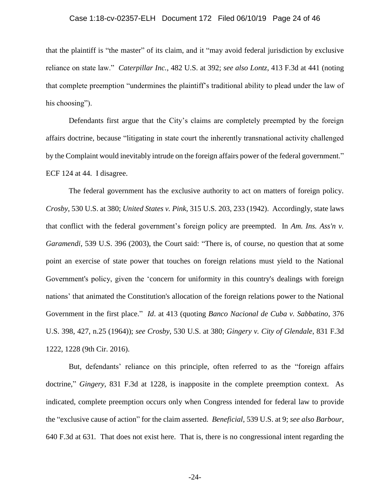### Case 1:18-cv-02357-ELH Document 172 Filed 06/10/19 Page 24 of 46

that the plaintiff is "the master" of its claim, and it "may avoid federal jurisdiction by exclusive reliance on state law." *Caterpillar Inc.*, 482 U.S. at 392; *see also Lontz*, 413 F.3d at 441 (noting that complete preemption "undermines the plaintiff's traditional ability to plead under the law of his choosing").

Defendants first argue that the City's claims are completely preempted by the foreign affairs doctrine, because "litigating in state court the inherently transnational activity challenged by the Complaint would inevitably intrude on the foreign affairs power of the federal government." ECF 124 at 44. I disagree.

The federal government has the exclusive authority to act on matters of foreign policy. *Crosby*, 530 U.S. at 380; *United States v. Pink*, 315 U.S. 203, 233 (1942). Accordingly, state laws that conflict with the federal government's foreign policy are preempted. In *Am. Ins. Ass'n v. Garamendi*, 539 U.S. 396 (2003), the Court said: "There is, of course, no question that at some point an exercise of state power that touches on foreign relations must yield to the National Government's policy, given the 'concern for uniformity in this country's dealings with foreign nations' that animated the Constitution's allocation of the foreign relations power to the National Government in the first place." *Id*. at 413 (quoting *Banco Nacional de Cuba v. Sabbatino*, 376 U.S. 398, 427, n.25 (1964)); *see Crosby*, 530 U.S. at 380; *Gingery v. City of Glendale*, 831 F.3d 1222, 1228 (9th Cir. 2016).

But, defendants' reliance on this principle, often referred to as the "foreign affairs doctrine," *Gingery*, 831 F.3d at 1228, is inapposite in the complete preemption context. As indicated, complete preemption occurs only when Congress intended for federal law to provide the "exclusive cause of action" for the claim asserted. *Beneficial*, 539 U.S. at 9; *see also Barbour*, 640 F.3d at 631*.* That does not exist here. That is, there is no congressional intent regarding the

-24-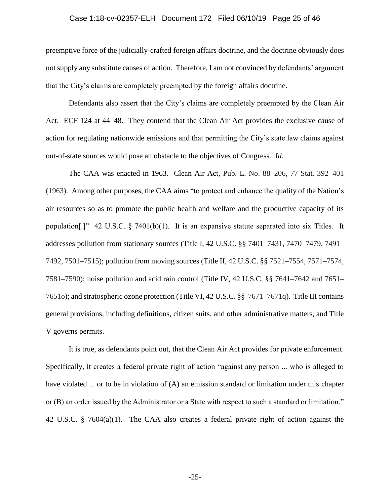# Case 1:18-cv-02357-ELH Document 172 Filed 06/10/19 Page 25 of 46

preemptive force of the judicially-crafted foreign affairs doctrine, and the doctrine obviously does not supply any substitute causes of action. Therefore, I am not convinced by defendants' argument that the City's claims are completely preempted by the foreign affairs doctrine.

Defendants also assert that the City's claims are completely preempted by the Clean Air Act. ECF 124 at 44–48. They contend that the Clean Air Act provides the exclusive cause of action for regulating nationwide emissions and that permitting the City's state law claims against out-of-state sources would pose an obstacle to the objectives of Congress. *Id*.

The CAA was enacted in 1963. Clean Air Act, Pub. L. No. 88–206, 77 Stat. 392–401 (1963). Among other purposes, the CAA aims "to protect and enhance the quality of the Nation's air resources so as to promote the public health and welfare and the productive capacity of its population[.]" 42 U.S.C. § 7401(b)(1). It is an expansive statute separated into six Titles. It addresses pollution from stationary sources (Title I, 42 U.S.C. §§ 7401–7431, 7470–7479, 7491– 7492, 7501–7515); pollution from moving sources (Title II, 42 U.S.C. §§ 7521–7554, 7571–7574, 7581–7590); noise pollution and acid rain control (Title IV, 42 U.S.C. §§ 7641–7642 and 7651– 7651o); and stratospheric ozone protection (Title VI, 42 U.S.C. §§ 7671–7671q). Title III contains general provisions, including definitions, citizen suits, and other administrative matters, and Title V governs permits.

It is true, as defendants point out, that the Clean Air Act provides for private enforcement. Specifically, it creates a federal private right of action "against any person ... who is alleged to have violated ... or to be in violation of (A) an emission standard or limitation under this chapter or (B) an order issued by the Administrator or a State with respect to such a standard or limitation." 42 U.S.C. § 7604(a)(1). The CAA also creates a federal private right of action against the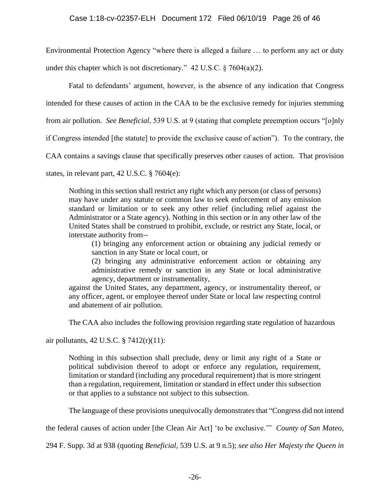Environmental Protection Agency "where there is alleged a failure … to perform any act or duty under this chapter which is not discretionary." 42 U.S.C.  $\S 7604(a)(2)$ .

Fatal to defendants' argument, however, is the absence of any indication that Congress

intended for these causes of action in the CAA to be the exclusive remedy for injuries stemming

from air pollution. *See Beneficial*, 539 U.S. at 9 (stating that complete preemption occurs "[o]nly

if Congress intended [the statute] to provide the exclusive cause of action"). To the contrary, the

CAA contains a savings clause that specifically preserves other causes of action. That provision

states, in relevant part, 42 U.S.C. § 7604(e):

Nothing in this section shall restrict any right which any person (or class of persons) may have under any statute or common law to seek enforcement of any emission standard or limitation or to seek any other relief (including relief against the Administrator or a State agency). Nothing in this section or in any other law of the United States shall be construed to prohibit, exclude, or restrict any State, local, or interstate authority from--

(1) bringing any enforcement action or obtaining any judicial remedy or sanction in any State or local court, or

(2) bringing any administrative enforcement action or obtaining any administrative remedy or sanction in any State or local administrative agency, department or instrumentality,

against the United States, any department, agency, or instrumentality thereof, or any officer, agent, or employee thereof under State or local law respecting control and abatement of air pollution.

The CAA also includes the following provision regarding state regulation of hazardous

air pollutants, 42 U.S.C. § 7412(r)(11):

Nothing in this subsection shall preclude, deny or limit any right of a State or political subdivision thereof to adopt or enforce any regulation, requirement, limitation or standard (including any procedural requirement) that is more stringent than a regulation, requirement, limitation or standard in effect under this subsection or that applies to a substance not subject to this subsection.

The language of these provisions unequivocally demonstrates that "Congress did not intend

the federal causes of action under [the Clean Air Act] 'to be exclusive.'" *County of San Mateo*,

294 F. Supp. 3d at 938 (quoting *Beneficial*, 539 U.S. at 9 n.5); *see also Her Majesty the Queen in*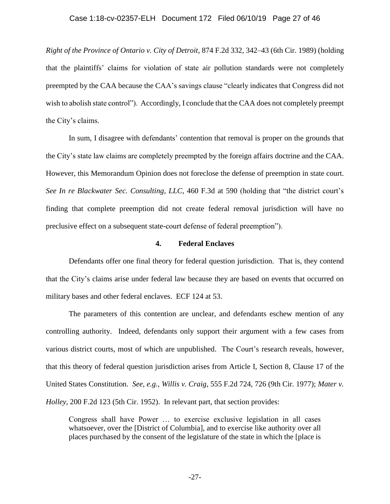### Case 1:18-cv-02357-ELH Document 172 Filed 06/10/19 Page 27 of 46

*Right of the Province of Ontario v. City of Detroit*, 874 F.2d 332, 342–43 (6th Cir. 1989) (holding that the plaintiffs' claims for violation of state air pollution standards were not completely preempted by the CAA because the CAA's savings clause "clearly indicates that Congress did not wish to abolish state control"). Accordingly, I conclude that the CAA does not completely preempt the City's claims.

In sum, I disagree with defendants' contention that removal is proper on the grounds that the City's state law claims are completely preempted by the foreign affairs doctrine and the CAA. However, this Memorandum Opinion does not foreclose the defense of preemption in state court. *See In re Blackwater Sec. Consulting, LLC*, 460 F.3d at 590 (holding that "the district court's finding that complete preemption did not create federal removal jurisdiction will have no preclusive effect on a subsequent state-court defense of federal preemption").

### **4. Federal Enclaves**

Defendants offer one final theory for federal question jurisdiction. That is, they contend that the City's claims arise under federal law because they are based on events that occurred on military bases and other federal enclaves. ECF 124 at 53.

The parameters of this contention are unclear, and defendants eschew mention of any controlling authority. Indeed, defendants only support their argument with a few cases from various district courts, most of which are unpublished. The Court's research reveals, however, that this theory of federal question jurisdiction arises from Article I, Section 8, Clause 17 of the United States Constitution. *See, e.g., Willis v. Craig*, 555 F.2d 724, 726 (9th Cir. 1977); *Mater v. Holley*, 200 F.2d 123 (5th Cir. 1952). In relevant part, that section provides:

Congress shall have Power … to exercise exclusive legislation in all cases whatsoever, over the [District of Columbia], and to exercise like authority over all places purchased by the consent of the legislature of the state in which the [place is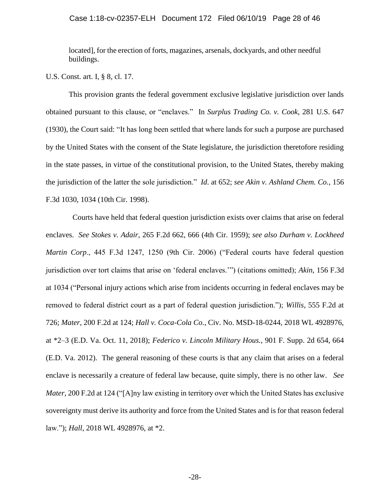located], for the erection of forts, magazines, arsenals, dockyards, and other needful buildings.

U.S. Const. art. I, § 8, cl. 17.

This provision grants the federal government exclusive legislative jurisdiction over lands obtained pursuant to this clause, or "enclaves." In *Surplus Trading Co. v. Cook*, 281 U.S. 647 (1930), the Court said: "It has long been settled that where lands for such a purpose are purchased by the United States with the consent of the State legislature, the jurisdiction theretofore residing in the state passes, in virtue of the constitutional provision, to the United States, thereby making the jurisdiction of the latter the sole jurisdiction." *Id*. at 652; *see Akin v. Ashland Chem. Co.*, 156 F.3d 1030, 1034 (10th Cir. 1998).

 Courts have held that federal question jurisdiction exists over claims that arise on federal enclaves. *See Stokes v. Adair*, 265 F.2d 662, 666 (4th Cir. 1959); *see also Durham v. Lockheed Martin Corp*., 445 F.3d 1247, 1250 (9th Cir. 2006) ("Federal courts have federal question jurisdiction over tort claims that arise on 'federal enclaves.'") (citations omitted); *Akin*, 156 F.3d at 1034 ("Personal injury actions which arise from incidents occurring in federal enclaves may be removed to federal district court as a part of federal question jurisdiction."); *Willis*, 555 F.2d at 726; *Mater*, 200 F.2d at 124; *Hall v. Coca-Cola Co.*, Civ. No. MSD-18-0244, 2018 WL 4928976, at \*2–3 (E.D. Va. Oct. 11, 2018); *Federico v. Lincoln Military Hous.*, 901 F. Supp. 2d 654, 664 (E.D. Va. 2012). The general reasoning of these courts is that any claim that arises on a federal enclave is necessarily a creature of federal law because, quite simply, there is no other law. *See Mater*, 200 F.2d at 124 ("[A]ny law existing in territory over which the United States has exclusive sovereignty must derive its authority and force from the United States and is for that reason federal law."); *Hall*, 2018 WL 4928976, at \*2.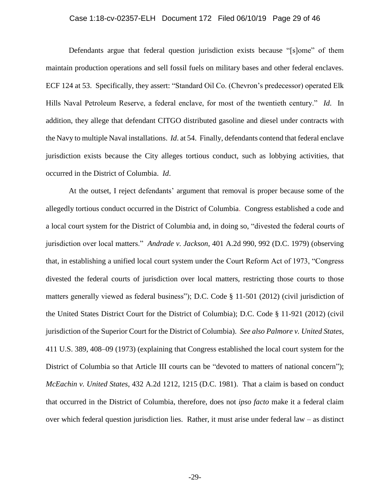# Case 1:18-cv-02357-ELH Document 172 Filed 06/10/19 Page 29 of 46

Defendants argue that federal question jurisdiction exists because "[s]ome" of them maintain production operations and sell fossil fuels on military bases and other federal enclaves. ECF 124 at 53. Specifically, they assert: "Standard Oil Co. (Chevron's predecessor) operated Elk Hills Naval Petroleum Reserve, a federal enclave, for most of the twentieth century." *Id*. In addition, they allege that defendant CITGO distributed gasoline and diesel under contracts with the Navy to multiple Naval installations. *Id*. at 54. Finally, defendants contend that federal enclave jurisdiction exists because the City alleges tortious conduct, such as lobbying activities, that occurred in the District of Columbia. *Id*.

At the outset, I reject defendants' argument that removal is proper because some of the allegedly tortious conduct occurred in the District of Columbia. Congress established a code and a local court system for the District of Columbia and, in doing so, "divested the federal courts of jurisdiction over local matters." *Andrade v. Jackson*, 401 A.2d 990, 992 (D.C. 1979) (observing that, in establishing a unified local court system under the Court Reform Act of 1973, "Congress divested the federal courts of jurisdiction over local matters, restricting those courts to those matters generally viewed as federal business"); D.C. Code § 11-501 (2012) (civil jurisdiction of the United States District Court for the District of Columbia); D.C. Code § 11-921 (2012) (civil jurisdiction of the Superior Court for the District of Columbia). *See also Palmore v. United States*, 411 U.S. 389, 408–09 (1973) (explaining that Congress established the local court system for the District of Columbia so that Article III courts can be "devoted to matters of national concern"); *McEachin v. United States*, 432 A.2d 1212, 1215 (D.C. 1981). That a claim is based on conduct that occurred in the District of Columbia, therefore, does not *ipso facto* make it a federal claim over which federal question jurisdiction lies. Rather, it must arise under federal law – as distinct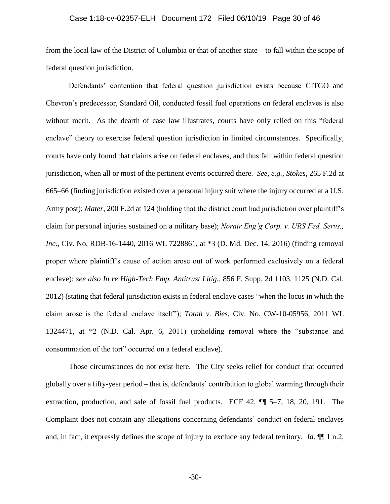## Case 1:18-cv-02357-ELH Document 172 Filed 06/10/19 Page 30 of 46

from the local law of the District of Columbia or that of another state – to fall within the scope of federal question jurisdiction.

Defendants' contention that federal question jurisdiction exists because CITGO and Chevron's predecessor, Standard Oil, conducted fossil fuel operations on federal enclaves is also without merit. As the dearth of case law illustrates, courts have only relied on this "federal enclave" theory to exercise federal question jurisdiction in limited circumstances. Specifically, courts have only found that claims arise on federal enclaves, and thus fall within federal question jurisdiction, when all or most of the pertinent events occurred there. *See, e.g.*, *Stokes*, 265 F.2d at 665–66 (finding jurisdiction existed over a personal injury suit where the injury occurred at a U.S. Army post); *Mater*, 200 F.2d at 124 (holding that the district court had jurisdiction over plaintiff's claim for personal injuries sustained on a military base); *Norair Eng'g Corp. v. URS Fed. Servs., Inc.*, Civ. No. RDB-16-1440, 2016 WL 7228861, at \*3 (D. Md. Dec. 14, 2016) (finding removal proper where plaintiff's cause of action arose out of work performed exclusively on a federal enclave); *see also In re High-Tech Emp. Antitrust Litig.*, 856 F. Supp. 2d 1103, 1125 (N.D. Cal. 2012) (stating that federal jurisdiction exists in federal enclave cases "when the locus in which the claim arose is the federal enclave itself"); *Totah v. Bies*, Civ. No. CW-10-05956, 2011 WL 1324471, at \*2 (N.D. Cal. Apr. 6, 2011) (upholding removal where the "substance and consummation of the tort" occurred on a federal enclave).

Those circumstances do not exist here. The City seeks relief for conduct that occurred globally over a fifty-year period – that is, defendants' contribution to global warming through their extraction, production, and sale of fossil fuel products. ECF 42, ¶¶ 5–7, 18, 20, 191. The Complaint does not contain any allegations concerning defendants' conduct on federal enclaves and, in fact, it expressly defines the scope of injury to exclude any federal territory. *Id*. ¶¶ 1 n.2,

-30-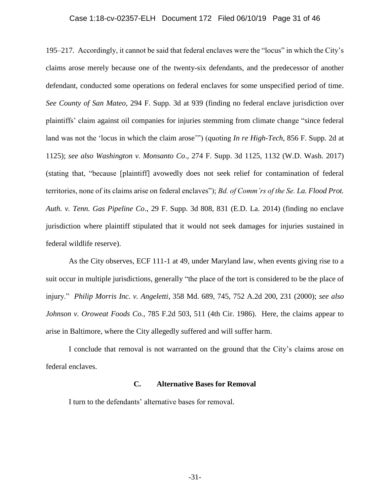### Case 1:18-cv-02357-ELH Document 172 Filed 06/10/19 Page 31 of 46

195–217. Accordingly, it cannot be said that federal enclaves were the "locus" in which the City's claims arose merely because one of the twenty-six defendants, and the predecessor of another defendant, conducted some operations on federal enclaves for some unspecified period of time. *See County of San Mateo*, 294 F. Supp. 3d at 939 (finding no federal enclave jurisdiction over plaintiffs' claim against oil companies for injuries stemming from climate change "since federal land was not the 'locus in which the claim arose'") (quoting *In re High-Tech*, 856 F. Supp. 2d at 1125); *see also Washington v. Monsanto Co*., 274 F. Supp. 3d 1125, 1132 (W.D. Wash. 2017) (stating that, "because [plaintiff] avowedly does not seek relief for contamination of federal territories, none of its claims arise on federal enclaves"); *Bd. of Comm'rs of the Se. La. Flood Prot. Auth. v. Tenn. Gas Pipeline Co*., 29 F. Supp. 3d 808, 831 (E.D. La. 2014) (finding no enclave jurisdiction where plaintiff stipulated that it would not seek damages for injuries sustained in federal wildlife reserve).

As the City observes, ECF 111-1 at 49, under Maryland law, when events giving rise to a suit occur in multiple jurisdictions, generally "the place of the tort is considered to be the place of injury." *Philip Morris Inc. v. Angeletti*, 358 Md. 689, 745, 752 A.2d 200, 231 (2000); *see also Johnson v. Oroweat Foods Co.*, 785 F.2d 503, 511 (4th Cir. 1986). Here, the claims appear to arise in Baltimore, where the City allegedly suffered and will suffer harm.

I conclude that removal is not warranted on the ground that the City's claims arose on federal enclaves.

### **C. Alternative Bases for Removal**

I turn to the defendants' alternative bases for removal.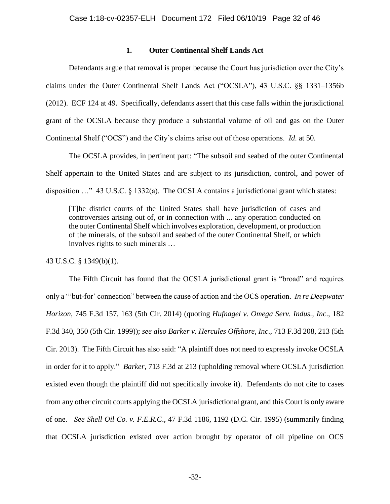# **1. Outer Continental Shelf Lands Act**

Defendants argue that removal is proper because the Court has jurisdiction over the City's claims under the Outer Continental Shelf Lands Act ("OCSLA"), 43 U.S.C. §§ 1331–1356b (2012). ECF 124 at 49. Specifically, defendants assert that this case falls within the jurisdictional grant of the OCSLA because they produce a substantial volume of oil and gas on the Outer Continental Shelf ("OCS") and the City's claims arise out of those operations. *Id*. at 50.

The OCSLA provides, in pertinent part: "The subsoil and seabed of the outer Continental Shelf appertain to the United States and are subject to its jurisdiction, control, and power of disposition …" 43 U.S.C. § 1332(a). The OCSLA contains a jurisdictional grant which states:

[T]he district courts of the United States shall have jurisdiction of cases and controversies arising out of, or in connection with ... any operation conducted on the outer Continental Shelf which involves exploration, development, or production of the minerals, of the subsoil and seabed of the outer Continental Shelf, or which involves rights to such minerals …

43 U.S.C. § 1349(b)(1).

The Fifth Circuit has found that the OCSLA jurisdictional grant is "broad" and requires only a "'but-for' connection" between the cause of action and the OCS operation. *In re Deepwater Horizon*, 745 F.3d 157, 163 (5th Cir. 2014) (quoting *Hufnagel v. Omega Serv. Indus., Inc*., 182 F.3d 340, 350 (5th Cir. 1999)); *see also Barker v. Hercules Offshore, Inc*., 713 F.3d 208, 213 (5th Cir. 2013). The Fifth Circuit has also said: "A plaintiff does not need to expressly invoke OCSLA in order for it to apply." *Barker*, 713 F.3d at 213 (upholding removal where OCSLA jurisdiction existed even though the plaintiff did not specifically invoke it). Defendants do not cite to cases from any other circuit courts applying the OCSLA jurisdictional grant, and this Court is only aware of one. *See Shell Oil Co. v. F.E.R.C*., 47 F.3d 1186, 1192 (D.C. Cir. 1995) (summarily finding that OCSLA jurisdiction existed over action brought by operator of oil pipeline on OCS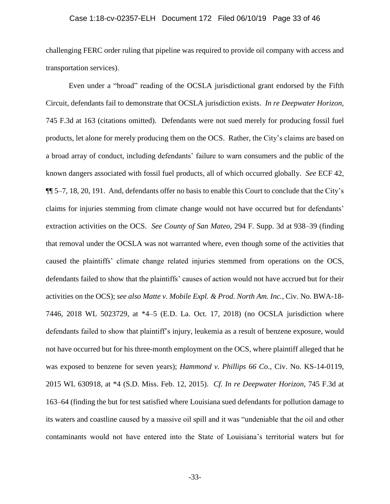# Case 1:18-cv-02357-ELH Document 172 Filed 06/10/19 Page 33 of 46

challenging FERC order ruling that pipeline was required to provide oil company with access and transportation services).

Even under a "broad" reading of the OCSLA jurisdictional grant endorsed by the Fifth Circuit, defendants fail to demonstrate that OCSLA jurisdiction exists. *In re Deepwater Horizon*, 745 F.3d at 163 (citations omitted). Defendants were not sued merely for producing fossil fuel products, let alone for merely producing them on the OCS. Rather, the City's claims are based on a broad array of conduct, including defendants' failure to warn consumers and the public of the known dangers associated with fossil fuel products, all of which occurred globally. *See* ECF 42, ¶¶ 5–7, 18, 20, 191. And, defendants offer no basis to enable this Court to conclude that the City's claims for injuries stemming from climate change would not have occurred but for defendants' extraction activities on the OCS. *See County of San Mateo*, 294 F. Supp. 3d at 938–39 (finding that removal under the OCSLA was not warranted where, even though some of the activities that caused the plaintiffs' climate change related injuries stemmed from operations on the OCS, defendants failed to show that the plaintiffs' causes of action would not have accrued but for their activities on the OCS); *see also Matte v. Mobile Expl. & Prod. North Am. Inc.*, Civ. No. BWA-18- 7446, 2018 WL 5023729, at \*4–5 (E.D. La. Oct. 17, 2018) (no OCSLA jurisdiction where defendants failed to show that plaintiff's injury, leukemia as a result of benzene exposure, would not have occurred but for his three-month employment on the OCS, where plaintiff alleged that he was exposed to benzene for seven years); *Hammond v. Phillips 66 Co*., Civ. No. KS-14-0119, 2015 WL 630918, at \*4 (S.D. Miss. Feb. 12, 2015). *Cf. In re Deepwater Horizon*, 745 F.3d at 163–64 (finding the but for test satisfied where Louisiana sued defendants for pollution damage to its waters and coastline caused by a massive oil spill and it was "undeniable that the oil and other contaminants would not have entered into the State of Louisiana's territorial waters but for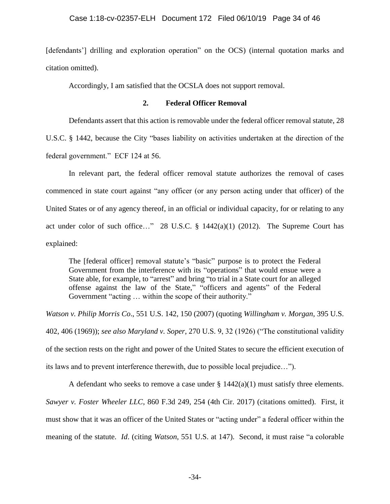[defendants'] drilling and exploration operation" on the OCS) (internal quotation marks and citation omitted).

Accordingly, I am satisfied that the OCSLA does not support removal.

# **2. Federal Officer Removal**

Defendants assert that this action is removable under the federal officer removal statute, 28

U.S.C. § 1442, because the City "bases liability on activities undertaken at the direction of the federal government." ECF 124 at 56.

In relevant part, the federal officer removal statute authorizes the removal of cases commenced in state court against "any officer (or any person acting under that officer) of the United States or of any agency thereof, in an official or individual capacity, for or relating to any act under color of such office..." 28 U.S.C.  $\S$  1442(a)(1) (2012). The Supreme Court has explained:

The [federal officer] removal statute's "basic" purpose is to protect the Federal Government from the interference with its "operations" that would ensue were a State able, for example, to "arrest" and bring "to trial in a State court for an alleged offense against the law of the State," "officers and agents" of the Federal Government "acting … within the scope of their authority."

*Watson v. Philip Morris Co*., 551 U.S. 142, 150 (2007) (quoting *Willingham v. Morgan*, 395 U.S. 402, 406 (1969)); *see also Maryland v. Soper*, 270 U.S. 9, 32 (1926) ("The constitutional validity of the section rests on the right and power of the United States to secure the efficient execution of its laws and to prevent interference therewith, due to possible local prejudice…").

A defendant who seeks to remove a case under  $\S 1442(a)(1)$  must satisfy three elements. *Sawyer v. Foster Wheeler LLC*, 860 F.3d 249, 254 (4th Cir. 2017) (citations omitted). First, it must show that it was an officer of the United States or "acting under" a federal officer within the meaning of the statute. *Id*. (citing *Watson*, 551 U.S. at 147). Second, it must raise "a colorable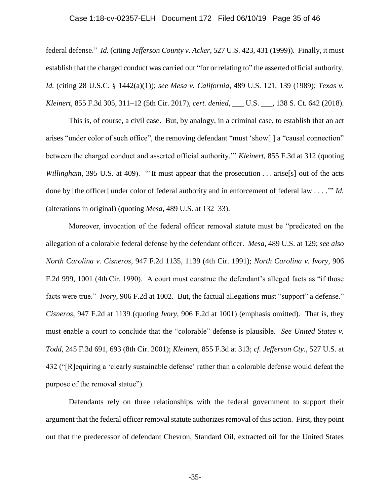# Case 1:18-cv-02357-ELH Document 172 Filed 06/10/19 Page 35 of 46

federal defense." *Id.* (citing *Jefferson County v. Acker*, 527 U.S. 423, 431 (1999)). Finally, it must establish that the charged conduct was carried out "for or relating to" the asserted official authority. *Id.* (citing 28 U.S.C. § 1442(a)(1)); *see Mesa v. California*, 489 U.S. 121, 139 (1989); *Texas v. Kleinert*, 855 F.3d 305, 311–12 (5th Cir. 2017), *cert. denied*, \_\_\_ U.S. \_\_\_, 138 S. Ct. 642 (2018).

This is, of course, a civil case. But, by analogy, in a criminal case, to establish that an act arises "under color of such office", the removing defendant "must 'show[ ] a "causal connection" between the charged conduct and asserted official authority.'" *Kleinert*, 855 F.3d at 312 (quoting *Willingham*, 395 U.S. at 409). "'It must appear that the prosecution . . . arise[s] out of the acts done by [the officer] under color of federal authority and in enforcement of federal law . . . .'" *Id.* (alterations in original) (quoting *Mesa*, 489 U.S. at 132–33).

Moreover, invocation of the federal officer removal statute must be "predicated on the allegation of a colorable federal defense by the defendant officer. *Mesa*, 489 U.S. at 129; *see also North Carolina v. Cisneros*, 947 F.2d 1135, 1139 (4th Cir. 1991); *North Carolina v. Ivory*, 906 F.2d 999, 1001 (4th Cir. 1990). A court must construe the defendant's alleged facts as "if those facts were true." *Ivory*, 906 F.2d at 1002. But, the factual allegations must "support" a defense." *Cisneros*, 947 F.2d at 1139 (quoting *Ivory*, 906 F.2d at 1001) (emphasis omitted). That is, they must enable a court to conclude that the "colorable" defense is plausible. *See United States v. Todd*, 245 F.3d 691, 693 (8th Cir. 2001); *Kleinert*, 855 F.3d at 313; *cf. Jefferson Cty.*, 527 U.S. at 432 ("[R]equiring a 'clearly sustainable defense' rather than a colorable defense would defeat the purpose of the removal statue").

Defendants rely on three relationships with the federal government to support their argument that the federal officer removal statute authorizes removal of this action. First, they point out that the predecessor of defendant Chevron, Standard Oil, extracted oil for the United States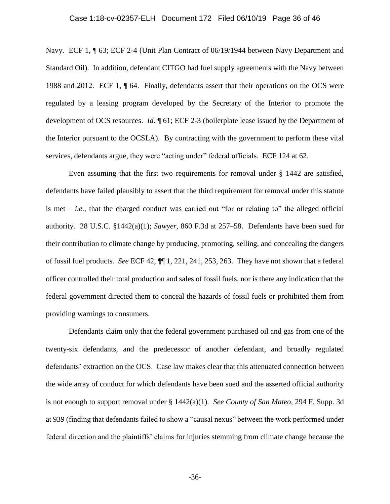## Case 1:18-cv-02357-ELH Document 172 Filed 06/10/19 Page 36 of 46

Navy. ECF 1,  $\P$  63; ECF 2-4 (Unit Plan Contract of 06/19/1944 between Navy Department and Standard Oil). In addition, defendant CITGO had fuel supply agreements with the Navy between 1988 and 2012. ECF 1, ¶ 64. Finally, defendants assert that their operations on the OCS were regulated by a leasing program developed by the Secretary of the Interior to promote the development of OCS resources. *Id*. ¶ 61; ECF 2-3 (boilerplate lease issued by the Department of the Interior pursuant to the OCSLA). By contracting with the government to perform these vital services, defendants argue, they were "acting under" federal officials. ECF 124 at 62.

Even assuming that the first two requirements for removal under § 1442 are satisfied, defendants have failed plausibly to assert that the third requirement for removal under this statute is met  $-$  *i.e.*, that the charged conduct was carried out "for or relating to" the alleged official authority. 28 U.S.C. §1442(a)(1); *Sawyer*, 860 F.3d at 257–58. Defendants have been sued for their contribution to climate change by producing, promoting, selling, and concealing the dangers of fossil fuel products. *See* ECF 42, ¶¶ 1, 221, 241, 253, 263. They have not shown that a federal officer controlled their total production and sales of fossil fuels, nor is there any indication that the federal government directed them to conceal the hazards of fossil fuels or prohibited them from providing warnings to consumers.

Defendants claim only that the federal government purchased oil and gas from one of the twenty-six defendants, and the predecessor of another defendant, and broadly regulated defendants' extraction on the OCS. Case law makes clear that this attenuated connection between the wide array of conduct for which defendants have been sued and the asserted official authority is not enough to support removal under § 1442(a)(1). *See County of San Mateo*, 294 F. Supp. 3d at 939 (finding that defendants failed to show a "causal nexus" between the work performed under federal direction and the plaintiffs' claims for injuries stemming from climate change because the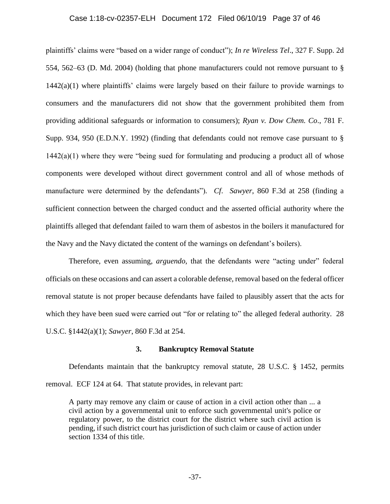### Case 1:18-cv-02357-ELH Document 172 Filed 06/10/19 Page 37 of 46

plaintiffs' claims were "based on a wider range of conduct"); *In re Wireless Tel*., 327 F. Supp. 2d 554, 562–63 (D. Md. 2004) (holding that phone manufacturers could not remove pursuant to § 1442(a)(1) where plaintiffs' claims were largely based on their failure to provide warnings to consumers and the manufacturers did not show that the government prohibited them from providing additional safeguards or information to consumers); *Ryan v. Dow Chem. Co*., 781 F. Supp. 934, 950 (E.D.N.Y. 1992) (finding that defendants could not remove case pursuant to §  $1442(a)(1)$  where they were "being sued for formulating and producing a product all of whose components were developed without direct government control and all of whose methods of manufacture were determined by the defendants")*. Cf*. *Sawyer*, 860 F.3d at 258 (finding a sufficient connection between the charged conduct and the asserted official authority where the plaintiffs alleged that defendant failed to warn them of asbestos in the boilers it manufactured for the Navy and the Navy dictated the content of the warnings on defendant's boilers).

Therefore, even assuming, *arguendo*, that the defendants were "acting under" federal officials on these occasions and can assert a colorable defense, removal based on the federal officer removal statute is not proper because defendants have failed to plausibly assert that the acts for which they have been sued were carried out "for or relating to" the alleged federal authority. 28 U.S.C. §1442(a)(1); *Sawyer*, 860 F.3d at 254.

# **3. Bankruptcy Removal Statute**

Defendants maintain that the bankruptcy removal statute, 28 U.S.C. § 1452, permits removal. ECF 124 at 64. That statute provides, in relevant part:

A party may remove any claim or cause of action in a civil action other than ... a civil action by a governmental unit to enforce such governmental unit's police or regulatory power, to the district court for the district where such civil action is pending, if such district court has jurisdiction of such claim or cause of action under section 1334 of this title.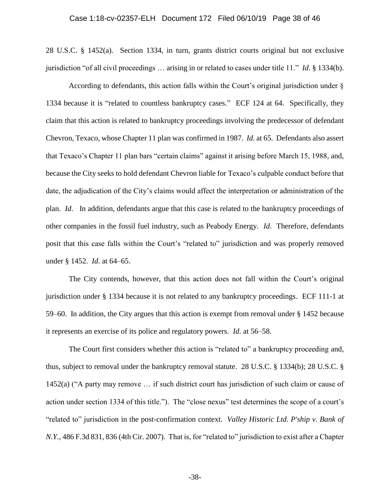28 U.S.C. § 1452(a). Section 1334, in turn, grants district courts original but not exclusive jurisdiction "of all civil proceedings … arising in or related to cases under title 11." *Id*. § 1334(b).

According to defendants, this action falls within the Court's original jurisdiction under § 1334 because it is "related to countless bankruptcy cases." ECF 124 at 64. Specifically, they claim that this action is related to bankruptcy proceedings involving the predecessor of defendant Chevron, Texaco, whose Chapter 11 plan was confirmed in 1987. *Id*. at 65. Defendants also assert that Texaco's Chapter 11 plan bars "certain claims" against it arising before March 15, 1988, and, because the City seeks to hold defendant Chevron liable for Texaco's culpable conduct before that date, the adjudication of the City's claims would affect the interpretation or administration of the plan. *Id*. In addition, defendants argue that this case is related to the bankruptcy proceedings of other companies in the fossil fuel industry, such as Peabody Energy. *Id*. Therefore, defendants posit that this case falls within the Court's "related to" jurisdiction and was properly removed under § 1452. *Id*. at 64–65.

The City contends, however, that this action does not fall within the Court's original jurisdiction under § 1334 because it is not related to any bankruptcy proceedings. ECF 111-1 at 59–60. In addition, the City argues that this action is exempt from removal under § 1452 because it represents an exercise of its police and regulatory powers. *Id*. at 56–58.

The Court first considers whether this action is "related to" a bankruptcy proceeding and, thus, subject to removal under the bankruptcy removal statute. 28 U.S.C. § 1334(b); 28 U.S.C. § 1452(a) ("A party may remove … if such district court has jurisdiction of such claim or cause of action under section 1334 of this title."). The "close nexus" test determines the scope of a court's "related to" jurisdiction in the post-confirmation context. *Valley Historic Ltd. P'ship v. Bank of N.Y.*, 486 F.3d 831, 836 (4th Cir. 2007). That is, for "related to" jurisdiction to exist after a Chapter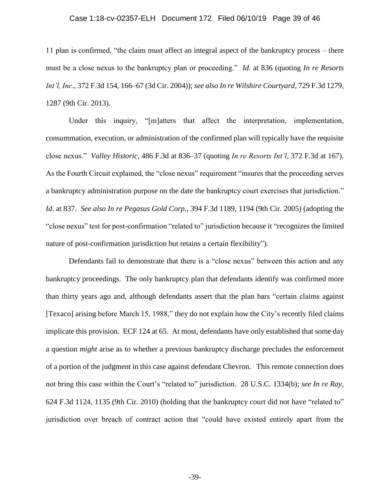#### Case 1:18-cv-02357-ELH Document 172 Filed 06/10/19 Page 39 of 46

11 plan is confirmed, "the claim must affect an integral aspect of the bankruptcy process – there must be a close nexus to the bankruptcy plan or proceeding." *Id*. at 836 (quoting *In re Resorts Int'l, Inc*., 372 F.3d 154, 166–67 (3d Cir. 2004)); *see also In re Wilshire Courtyard*, 729 F.3d 1279, 1287 (9th Cir. 2013).

Under this inquiry, "[m]atters that affect the interpretation, implementation, consummation, execution, or administration of the confirmed plan will typically have the requisite close nexus." *Valley Historic*, 486 F.3d at 836–37 (quoting *In re Resorts Int'l*, 372 F.3d at 167). As the Fourth Circuit explained, the "close nexus" requirement "insures that the proceeding serves a bankruptcy administration purpose on the date the bankruptcy court exercises that jurisdiction." *Id*. at 837. *See also In re Pegasus Gold Corp.*, 394 F.3d 1189, 1194 (9th Cir. 2005) (adopting the "close nexus" test for post-confirmation "related to" jurisdiction because it "recognizes the limited nature of post-confirmation jurisdiction but retains a certain flexibility").

Defendants fail to demonstrate that there is a "close nexus" between this action and any bankruptcy proceedings. The only bankruptcy plan that defendants identify was confirmed more than thirty years ago and, although defendants assert that the plan bars "certain claims against [Texaco] arising before March 15, 1988," they do not explain how the City's recently filed claims implicate this provision. ECF 124 at 65. At most, defendants have only established that some day a question *might* arise as to whether a previous bankruptcy discharge precludes the enforcement of a portion of the judgment in this case against defendant Chevron. This remote connection does not bring this case within the Court's "related to" jurisdiction. 28 U.S.C. 1334(b); *see In re Ray*, 624 F.3d 1124, 1135 (9th Cir. 2010) (holding that the bankruptcy court did not have "related to" jurisdiction over breach of contract action that "could have existed entirely apart from the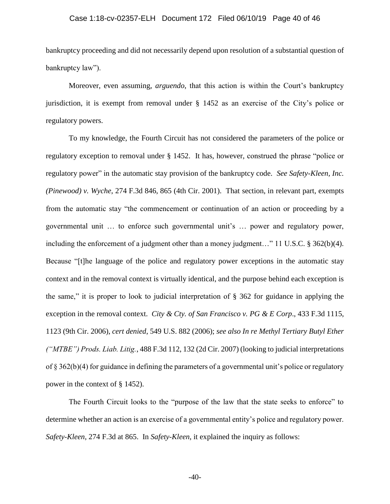# Case 1:18-cv-02357-ELH Document 172 Filed 06/10/19 Page 40 of 46

bankruptcy proceeding and did not necessarily depend upon resolution of a substantial question of bankruptcy law").

Moreover, even assuming, *arguendo*, that this action is within the Court's bankruptcy jurisdiction, it is exempt from removal under § 1452 as an exercise of the City's police or regulatory powers.

To my knowledge, the Fourth Circuit has not considered the parameters of the police or regulatory exception to removal under § 1452. It has, however, construed the phrase "police or regulatory power" in the automatic stay provision of the bankruptcy code. *See Safety-Kleen, Inc. (Pinewood) v. Wyche*, 274 F.3d 846, 865 (4th Cir. 2001). That section, in relevant part, exempts from the automatic stay "the commencement or continuation of an action or proceeding by a governmental unit … to enforce such governmental unit's … power and regulatory power, including the enforcement of a judgment other than a money judgment…" 11 U.S.C. § 362(b)(4). Because "[t]he language of the police and regulatory power exceptions in the automatic stay context and in the removal context is virtually identical, and the purpose behind each exception is the same," it is proper to look to judicial interpretation of § 362 for guidance in applying the exception in the removal context. *City & Cty. of San Francisco v. PG & E Corp*., 433 F.3d 1115, 1123 (9th Cir. 2006), *cert denied*, 549 U.S. 882 (2006); *see also In re Methyl Tertiary Butyl Ether ("MTBE") Prods. Liab. Litig.*, 488 F.3d 112, 132 (2d Cir. 2007) (looking to judicial interpretations of § 362(b)(4) for guidance in defining the parameters of a governmental unit's police or regulatory power in the context of § 1452).

The Fourth Circuit looks to the "purpose of the law that the state seeks to enforce" to determine whether an action is an exercise of a governmental entity's police and regulatory power. *Safety-Kleen*, 274 F.3d at 865. In *Safety-Kleen*, it explained the inquiry as follows:

 $-40-$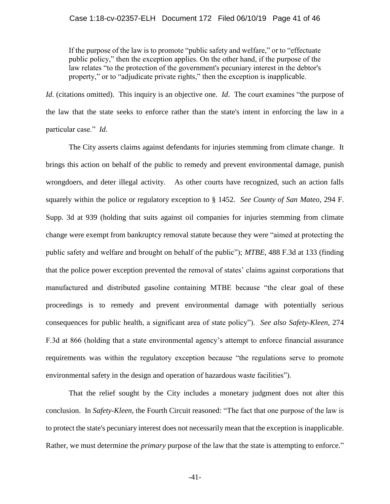If the purpose of the law is to promote "public safety and welfare," or to "effectuate public policy," then the exception applies. On the other hand, if the purpose of the law relates "to the protection of the government's pecuniary interest in the debtor's property," or to "adjudicate private rights," then the exception is inapplicable.

*Id.* (citations omitted). This inquiry is an objective one. *Id.* The court examines "the purpose of the law that the state seeks to enforce rather than the state's intent in enforcing the law in a particular case." *Id*.

The City asserts claims against defendants for injuries stemming from climate change. It brings this action on behalf of the public to remedy and prevent environmental damage, punish wrongdoers, and deter illegal activity. As other courts have recognized, such an action falls squarely within the police or regulatory exception to § 1452. *See County of San Mateo*, 294 F. Supp. 3d at 939 (holding that suits against oil companies for injuries stemming from climate change were exempt from bankruptcy removal statute because they were "aimed at protecting the public safety and welfare and brought on behalf of the public"); *MTBE*, 488 F.3d at 133 (finding that the police power exception prevented the removal of states' claims against corporations that manufactured and distributed gasoline containing MTBE because "the clear goal of these proceedings is to remedy and prevent environmental damage with potentially serious consequences for public health, a significant area of state policy"). *See also Safety-Kleen*, 274 F.3d at 866 (holding that a state environmental agency's attempt to enforce financial assurance requirements was within the regulatory exception because "the regulations serve to promote environmental safety in the design and operation of hazardous waste facilities").

That the relief sought by the City includes a monetary judgment does not alter this conclusion. In *Safety-Kleen*, the Fourth Circuit reasoned: "The fact that one purpose of the law is to protect the state's pecuniary interest does not necessarily mean that the exception is inapplicable. Rather, we must determine the *primary* purpose of the law that the state is attempting to enforce."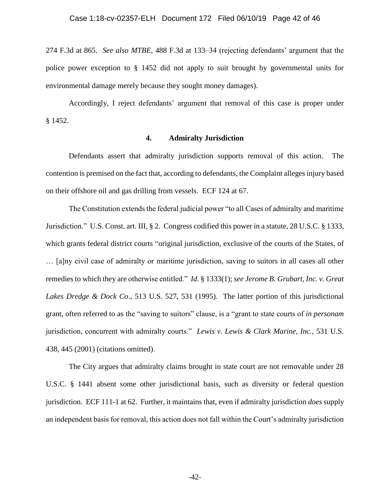274 F.3d at 865. *See also MTBE*, 488 F.3d at 133–34 (rejecting defendants' argument that the police power exception to § 1452 did not apply to suit brought by governmental units for environmental damage merely because they sought money damages).

Accordingly, I reject defendants' argument that removal of this case is proper under § 1452.

### **4. Admiralty Jurisdiction**

Defendants assert that admiralty jurisdiction supports removal of this action. The contention is premised on the fact that, according to defendants, the Complaint alleges injury based on their offshore oil and gas drilling from vessels. ECF 124 at 67.

The Constitution extends the federal judicial power "to all Cases of admiralty and maritime Jurisdiction." U.S. Const. art. III, § 2. Congress codified this power in a statute, 28 U.S.C. § 1333, which grants federal district courts "original jurisdiction, exclusive of the courts of the States, of … [a]ny civil case of admiralty or maritime jurisdiction, saving to suitors in all cases all other remedies to which they are otherwise entitled." *Id*. § 1333(1); *see Jerome B. Grubart, Inc. v. Great Lakes Dredge & Dock Co*., 513 U.S. 527, 531 (1995). The latter portion of this jurisdictional grant, often referred to as the "saving to suitors" clause, is a "grant to state courts of *in personam* jurisdiction, concurrent with admiralty courts." *Lewis v. Lewis & Clark Marine, Inc.*, 531 U.S. 438, 445 (2001) (citations omitted).

The City argues that admiralty claims brought in state court are not removable under 28 U.S.C. § 1441 absent some other jurisdictional basis, such as diversity or federal question jurisdiction. ECF 111-1 at 62. Further, it maintains that, even if admiralty jurisdiction *does* supply an independent basis for removal, this action does not fall within the Court's admiralty jurisdiction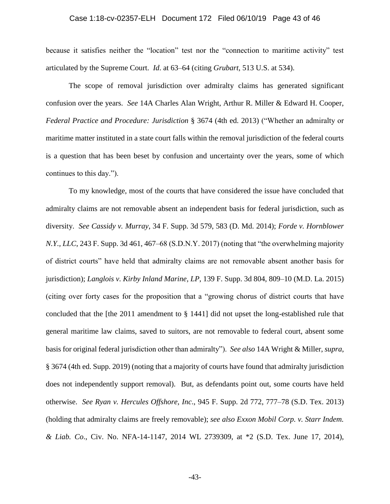# Case 1:18-cv-02357-ELH Document 172 Filed 06/10/19 Page 43 of 46

because it satisfies neither the "location" test nor the "connection to maritime activity" test articulated by the Supreme Court. *Id*. at 63–64 (citing *Grubart*, 513 U.S. at 534).

The scope of removal jurisdiction over admiralty claims has generated significant confusion over the years. *See* 14A Charles Alan Wright, Arthur R. Miller & Edward H. Cooper, *Federal Practice and Procedure: Jurisdiction* § 3674 (4th ed. 2013) ("Whether an admiralty or maritime matter instituted in a state court falls within the removal jurisdiction of the federal courts is a question that has been beset by confusion and uncertainty over the years, some of which continues to this day.").

To my knowledge, most of the courts that have considered the issue have concluded that admiralty claims are not removable absent an independent basis for federal jurisdiction, such as diversity. *See Cassidy v. Murray*, 34 F. Supp. 3d 579, 583 (D. Md. 2014); *Forde v. Hornblower N.Y., LLC*, 243 F. Supp. 3d 461, 467–68 (S.D.N.Y. 2017) (noting that "the overwhelming majority of district courts" have held that admiralty claims are not removable absent another basis for jurisdiction); *Langlois v. Kirby Inland Marine, LP*, 139 F. Supp. 3d 804, 809–10 (M.D. La. 2015) (citing over forty cases for the proposition that a "growing chorus of district courts that have concluded that the [the 2011 amendment to § 1441] did not upset the long-established rule that general maritime law claims, saved to suitors, are not removable to federal court, absent some basis for original federal jurisdiction other than admiralty"). *See also* 14A Wright & Miller, *supra*, § 3674 (4th ed. Supp. 2019) (noting that a majority of courts have found that admiralty jurisdiction does not independently support removal). But, as defendants point out, some courts have held otherwise. *See Ryan v. Hercules Offshore, Inc*., 945 F. Supp. 2d 772, 777–78 (S.D. Tex. 2013) (holding that admiralty claims are freely removable); *see also Exxon Mobil Corp. v. Starr Indem. & Liab. Co*., Civ. No. NFA-14-1147, 2014 WL 2739309, at \*2 (S.D. Tex. June 17, 2014),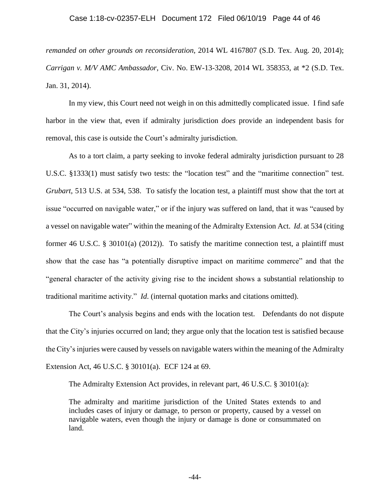### Case 1:18-cv-02357-ELH Document 172 Filed 06/10/19 Page 44 of 46

*remanded on other grounds on reconsideration*, 2014 WL 4167807 (S.D. Tex. Aug. 20, 2014); *Carrigan v. M/V AMC Ambassador*, Civ. No. EW-13-3208, 2014 WL 358353, at \*2 (S.D. Tex. Jan. 31, 2014).

In my view, this Court need not weigh in on this admittedly complicated issue. I find safe harbor in the view that, even if admiralty jurisdiction *does* provide an independent basis for removal, this case is outside the Court's admiralty jurisdiction.

As to a tort claim, a party seeking to invoke federal admiralty jurisdiction pursuant to 28 U.S.C. §1333(1) must satisfy two tests: the "location test" and the "maritime connection" test. *Grubart*, 513 U.S. at 534, 538. To satisfy the location test, a plaintiff must show that the tort at issue "occurred on navigable water," or if the injury was suffered on land, that it was "caused by a vessel on navigable water" within the meaning of the Admiralty Extension Act. *Id*. at 534 (citing former 46 U.S.C. § 30101(a) (2012)). To satisfy the maritime connection test, a plaintiff must show that the case has "a potentially disruptive impact on maritime commerce" and that the "general character of the activity giving rise to the incident shows a substantial relationship to traditional maritime activity." *Id*. (internal quotation marks and citations omitted).

The Court's analysis begins and ends with the location test. Defendants do not dispute that the City's injuries occurred on land; they argue only that the location test is satisfied because the City's injuries were caused by vessels on navigable waters within the meaning of the Admiralty Extension Act, 46 U.S.C. § 30101(a). ECF 124 at 69.

The Admiralty Extension Act provides, in relevant part, 46 U.S.C. § 30101(a):

The admiralty and maritime jurisdiction of the United States extends to and includes cases of injury or damage, to person or property, caused by a vessel on navigable waters, even though the injury or damage is done or consummated on land.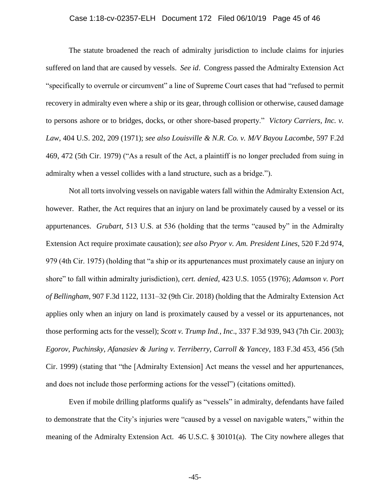# Case 1:18-cv-02357-ELH Document 172 Filed 06/10/19 Page 45 of 46

The statute broadened the reach of admiralty jurisdiction to include claims for injuries suffered on land that are caused by vessels. *See id*. Congress passed the Admiralty Extension Act "specifically to overrule or circumvent" a line of Supreme Court cases that had "refused to permit recovery in admiralty even where a ship or its gear, through collision or otherwise, caused damage to persons ashore or to bridges, docks, or other shore-based property." *Victory Carriers, Inc. v. Law*, 404 U.S. 202, 209 (1971); *see also Louisville & N.R. Co. v. M/V Bayou Lacombe*, 597 F.2d 469, 472 (5th Cir. 1979) ("As a result of the Act, a plaintiff is no longer precluded from suing in admiralty when a vessel collides with a land structure, such as a bridge.").

Not all torts involving vessels on navigable waters fall within the Admiralty Extension Act, however. Rather, the Act requires that an injury on land be proximately caused by a vessel or its appurtenances. *Grubart*, 513 U.S. at 536 (holding that the terms "caused by" in the Admiralty Extension Act require proximate causation); *see also Pryor v. Am. President Lines*, 520 F.2d 974, 979 (4th Cir. 1975) (holding that "a ship or its appurtenances must proximately cause an injury on shore" to fall within admiralty jurisdiction), *cert. denied*, 423 U.S. 1055 (1976); *Adamson v. Port of Bellingham*, 907 F.3d 1122, 1131–32 (9th Cir. 2018) (holding that the Admiralty Extension Act applies only when an injury on land is proximately caused by a vessel or its appurtenances, not those performing acts for the vessel); *Scott v. Trump Ind., Inc*., 337 F.3d 939, 943 (7th Cir. 2003); *Egorov, Puchinsky, Afanasiev & Juring v. Terriberry, Carroll & Yancey*, 183 F.3d 453, 456 (5th Cir. 1999) (stating that "the [Admiralty Extension] Act means the vessel and her appurtenances, and does not include those performing actions for the vessel") (citations omitted).

Even if mobile drilling platforms qualify as "vessels" in admiralty, defendants have failed to demonstrate that the City's injuries were "caused by a vessel on navigable waters," within the meaning of the Admiralty Extension Act. 46 U.S.C. § 30101(a). The City nowhere alleges that

-45-